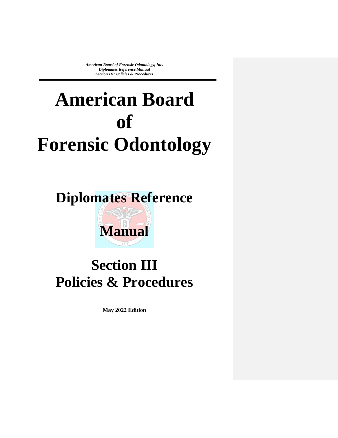# **American Board of Forensic Odontology**

## **Diplomates Reference**



## **Section III Policies & Procedures**

**May 2022 Edition**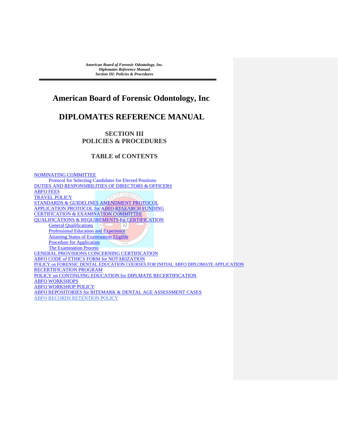**American Board of Forensic Odontology, Inc**.

### **DIPLOMATES REFERENCE MANUAL**

### **SECTION III POLICIES & PROCEDURES**

### **TABLE of CONTENTS**

NOMINATING COMMITTEE Protocol for Selecting Candidates for Elected Positions DUTIES AND RESPONSIBILITIES OF DIRECTORS & OFFICERS ABFO [FEES](#page-6-0) **AFFOR** [TRAVEL](#page-6-1) POLICY STANDARDS & GUIDELINES AMENDMENT PROTOCOL [APPLICATION PROTOCOL for ABFO RESEARCH FUNDING](#page-9-0) [CERTIFICATION & EXAMINATION COMMITTEE](#page-11-0) [QUALIFICATIONS & REQUIREMENTS for CERTIFICATION](#page-13-0) General Qualifications -16 Professional Education and Experience Attaining Status of Examination Eligible Procedure for Application The Examination Process [GENERAL](#page-21-0) PROVISIONS CONCERNING CERTIFICATION ABFO CODE of ETHICS FORM for NOTARIZATION POLICY on FORENSIC DENTAL EDUCATION COURSES FOR INITIAL ABFO DIPLOMATE APPLICATION RECERTIFICATION PROGRAM POLICY on CONTINUING EDUCATION for DIPLMATE RECERTIFICATION ABFO WORKSHOPS ABFO WORKSHOP POLICY ABFO REPOSITORIES for BITEMARK & DENTAL AGE ASSESSMENT CASES ABFO RECORDS RETENTION POLICY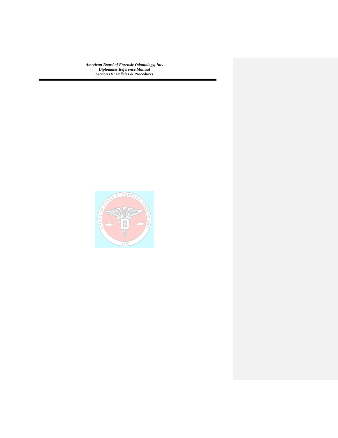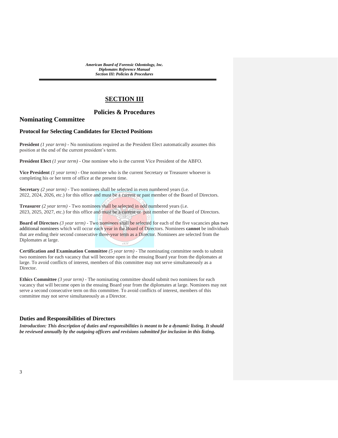### **SECTION III**

### **Policies & Procedures**

### **Nominating Committee**

### **Protocol for Selecting Candidates for Elected Positions**

**President** (1 year term) **-** No nominations required as the President Elect automatically assumes this position at the end of the current president's term.

**President Elect** *(1 year term)* - One nominee who is the current Vice President of the ABFO.

**Vice President** *(1 year term)* - One nominee who is the current Secretary or Treasurer whoever is completing his or her term of office at the present time.

**Secretary** *(2 year term)* - Two nominees shall be selected in even numbered years (i.e. 2022, 2024, 2026, etc.) for this office and must be a current or past member of the Board of Directors.

**Treasurer** *(2 year term)* - Two nominees shall be selected in odd numbered years (i.e. 2023, 2025, 2027, etc.) for this office and must be a current or past member of the Board of Directors.

**Board of Directors** *(3 year term)* - Two nominees shall be selected for each of the five vacancies plus two additional nominees which will occur each year in the Board of Directors. Nominees **cannot** be individuals that are ending their second consecutive three-year term as a Director. Nominees are selected from the Diplomates at large.

**Certification and Examination Committee** *(5 year term)* - The nominating committee needs to submit two nominees for each vacancy that will become open in the ensuing Board year from the diplomates at large. To avoid conflicts of interest, members of this committee may not serve simultaneously as a Director.

**Ethics Committee** (3 year term) - The nominating committee should submit two nominees for each vacancy that will become open in the ensuing Board year from the diplomates at large. Nominees may not serve a second consecutive term on this committee. To avoid conflicts of interest, members of this committee may not serve simultaneously as a Director.

### **Duties and Responsibilities of Directors**

*Introduction: This description of duties and responsibilities is meant to be a dynamic listing. It should be reviewed annually by the outgoing officers and revisions submitted for inclusion in this listing.*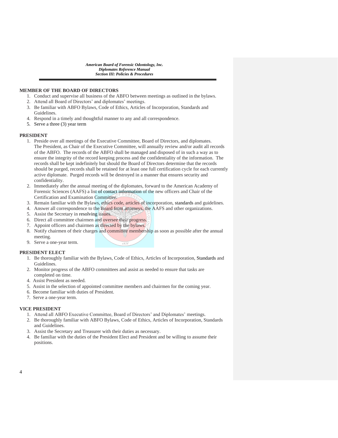### **MEMBER OF THE BOARD OF DIRECTORS**

- 1. Conduct and supervise all business of the ABFO between meetings as outlined in the bylaws.
- 2. Attend all Board of Directors' and diplomates' meetings.
- 3. Be familiar with ABFO Bylaws, Code of Ethics, Articles of Incorporation, Standards and Guidelines.
- 4. Respond in a timely and thoughtful manner to any and all correspondence.
- 5. Serve a three (3) year term

#### **PRESIDENT**

- 1. Preside over all meetings of the Executive Committee, Board of Directors, and diplomates. The President, as Chair of the Executive Committee, will annually review and/or audit all records of the ABFO. The records of the ABFO shall be managed and disposed of in such a way as to ensure the integrity of the record keeping process and the confidentiality of the information. The records shall be kept indefinitely but should the Board of Directors determine that the records should be purged, records shall be retained for at least one full certification cycle for each currently active diplomate. Purged records will be destroyed in a manner that ensures security and confidentiality.
- 2. Immediately after the annual meeting of the diplomates, forward to the American Academy of Forensic Sciences (AAFS) a list of contact information of the new officers and Chair of the Certification and Examination Committee.
- 3. Remain familiar with the Bylaws, ethics code, articles of incorporation, standards and guidelines.
- 4. Answer all correspondence to the Board from attorneys, the AAFS and other organizations.
- 5. Assist the Secretary in resolving issues.
- 6. Direct all committee chairmen and oversee their progress.
- 7. Appoint officers and chairmen as directed by the bylaws.
- 8. Notify chairmen of their charges and committee membership as soon as possible after the annual meeting. 1976
- 9. Serve a one-year term.

### **PRESIDENT ELECT**

- 1. Be thoroughly familiar with the Bylaws, Code of Ethics, Articles of Incorporation, Standards and Guidelines.
- 2. Monitor progress of the ABFO committees and assist as needed to ensure that tasks are completed on time.
- 4. Assist President as needed.
- 5. Assist in the selection of appointed committee members and chairmen for the coming year.
- 6. Become familiar with duties of President.
- 7. Serve a one-year term.

### **VICE PRESIDENT**

- 1. Attend all ABFO Executive Committee, Board of Directors' and Diplomates' meetings.
- 2. Be thoroughly familiar with ABFO Bylaws, Code of Ethics, Articles of Incorporation, Standards and Guidelines.
- 3. Assist the Secretary and Treasurer with their duties as necessary.
- 4. Be familiar with the duties of the President Elect and President and be willing to assume their positions.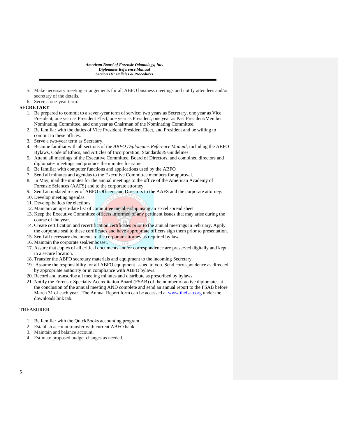- 5. Make necessary meeting arrangements for all ABFO business meetings and notify attendees and/or secretary of the details.
- 6. Serve a one-year term.

#### **SECRETARY**

- 1. Be prepared to commit to a seven-year term of service: two years as Secretary, one year as Vice President, one year as President Elect, one year as President, one year as Past President/Member Nominating Committee, and one year as Chairman of the Nominating Committee.
- 2. Be familiar with the duties of Vice President, President Elect, and President and be willing to commit to these offices.
- 3. Serve a two-year term as Secretary.
- 4. Become familiar with all sections of the *ABFO Diplomates Reference Manual*, including the ABFO Bylaws, Code of Ethics, and Articles of Incorporation, Standards & Guidelines.
- 5. Attend all meetings of the Executive Committee, Board of Directors, and combined directors and diplomates meetings and produce the minutes for same.
- 6. Be familiar with computer functions and applications used by the ABFO
- 7. Send all minutes and agendas to the Executive Committee members for approval.
- 8. In May, mail the minutes for the annual meetings to the office of the American Academy of Forensic Sciences (AAFS) and to the corporate attorney.
- 9. Send an updated roster of ABFO Officers and Directors to the AAFS and the corporate attorney.
- 10. Develop meeting agendas.
- 11. Develop ballots for elections.
- 12. Maintain an up-to-date list of committee membership using an Excel spread sheet
- 13. Keep the Executive Committee officers informed of any pertinent issues that may arise during the course of the year.
- 14. Create certification and recertification certificates prior to the annual meetings in February. Apply the corporate seal to these certificates and have appropriate officers sign them prior to presentation.
- 15. Send all necessary documents to the corporate attorney as required by law.
- 16. Maintain the corporate seal/embosser.
- 17. Assure that copies of all critical documents and/or correspondence are preserved digitally and kept in a secure location.
- 18. Transfer the ABFO secretary materials and equipment to the incoming Secretary.
- 19. Assume the responsibility for all ABFO equipment issued to you. Send correspondence as directed by appropriate authority or in compliance with ABFO bylaws.
- 20. Record and transcribe all meeting minutes and distribute as prescribed by bylaws.
- 21. Notify the Forensic Specialty Accreditation Board (FSAB) of the number of active diplomates at the conclusion of the annual meeting AND complete and send an annual report to the FSAB before March 31 of each year. The Annual Report form can be accessed at [www.thefsab.org](http://www.thefsab.org/) under the downloads link tab.

### **TREASURER**

- 1. Be familiar with the QuickBooks accounting program.
- 2. Establish account transfer with current ABFO bank
- 3. Maintain and balance account.
- 4. Estimate proposed budget changes as needed.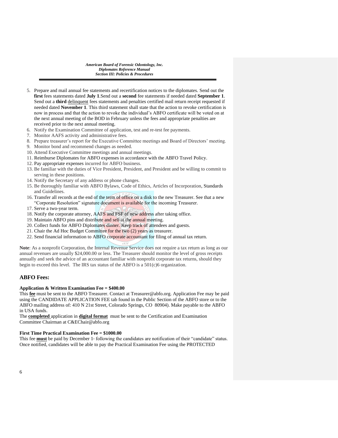- 5. Prepare and mail annual fee statements and recertification notices to the diplomates. Send out the **first** fees statements dated **July 1**.Send out a **second** fee statements if needed dated **September 1**. Send out a **third** delinquent fees statements and penalties certified mail return receipt requested if needed dated **November 1**. This third statement shall state that the action to revoke certification is now in process and that the action to revoke the individual's ABFO certificate will be voted on at the next annual meeting of the BOD in February unless the fees and appropriate penalties are received prior to the next annual meeting.
- 6. Notify the Examination Committee of application, test and re-test fee payments.
- 7. Monitor AAFS activity and administrative fees.
- 8. Prepare treasurer's report for the Executive Committee meetings and Board of Directors' meeting.
- 9. Monitor bond and recommend changes as needed.
- 10. Attend Executive Committee meetings and annual meetings.
- 11. Reimburse Diplomates for ABFO expenses in accordance with the ABFO Travel Policy.
- 12. Pay appropriate expenses incurred for ABFO business.
- 13. Be familiar with the duties of Vice President, President, and President and be willing to commit to serving in these positions.
- 14. Notify the Secretary of any address or phone changes.
- 15. Be thoroughly familiar with ABFO Bylaws, Code of Ethics, Articles of Incorporation, Standards and Guidelines.
- 16. Transfer all records at the end of the term of office on a disk to the new Treasurer. See that a new "Corporate Resolution" signature document is available for the incoming Treasurer.
- 17. Serve a two-year term.
- 18. Notify the corporate attorney, AAFS and FSF of new address after taking office.
- 19. Maintain ABFO pins and distribute and sell at the annual meeting.
- 20. Collect funds for ABFO Diplomates dinner. Keep track of attendees and guests.
- 21. Chair the Ad Hoc Budget Committee for the two (2) years as treasurer.
- 22. Send financial information to ABFO corporate accountant for filing of annual tax return.

**Note**: As a nonprofit Corporation, the Internal Revenue Service does not require a tax return as long as our annual revenues are usually \$24,000.00 or less. The Treasurer should monitor the level of gross receipts annually and seek the advice of an accountant familiar with nonprofit corporate tax returns, should they begin to exceed this level. The IRS tax status of the ABFO is a 501(c)6 organization.

### <span id="page-6-0"></span>**ABFO Fees:**

#### <span id="page-6-1"></span>**Application & Written Examination Fee = \$400.00**

This **fee** must be sent to the ABFO Treasurer. Contact at Treasurer@abfo.org. Application Fee may be paid using the CANDIDATE APPLICATION FEE tab found in the Public Section of the ABFO store or to the ABFO mailing address of: 410 N 21st Street, Colorado Springs, CO 80904). Make payable to the ABFO in USA funds.

The **completed** application in **digital format** must be sent to the Certification and Examination Committee Chairman at C&EChair@abfo.org

#### **First Time Practical Examination Fee = \$1000.00**

This fee **must** be paid by December 1<sup>*x*</sup> following the candidates are notification of their "candidate" status. Once notified, candidates will be able to pay the Practical Examination Fee using the PROTECTED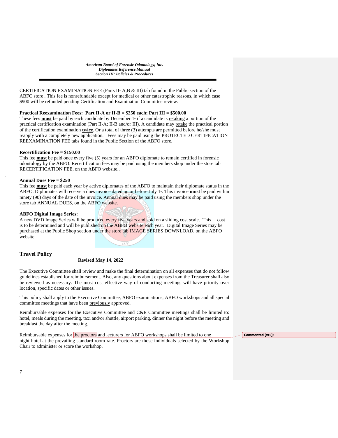CERTIFICATION EXAMINATION FEE (Parts II- A,B & III) tab found in the Public section of the ABFO store . This fee is nonrefundable except for medical or other catastrophic reasons, in which case \$900 will be refunded pending Certification and Examination Committee review.

### **Practical Reexamination Fees: Part II-A or II-B = \$250 each; Part III = \$500.00**

These fees **must** be paid by each candidate by December 1<sup>s</sup> if a candidate is retaking a portion of the practical certification examination (Part II-A; II-B and/or III). A candidate may retake the practical portion of the certification examination **twice**. Or a total of three (3) attempts are permitted before he/she must reapply with a completely new application. Fees may be paid using the PROTECTED CERTIFICATION REEXAMINATION FEE tabs found in the Public Section of the ABFO store.

### **Recertification Fee = \$150.00**

 This fee **must** be paid once every five (5) years for an ABFO diplomate to remain certified in forensic odontology by the ABFO. Recertification fees may be paid using the members shop under the store tab RECERTIFICATION FEE, on the ABFO website..

### **Annual Dues Fee = \$250**

.

 This fee **must** be paid each year by active diplomates of the ABFO to maintain their diplomate status in the ABFO. Diplomates will receive a dues invoice dated on or before July 1<sup>s</sup>. This invoice **must** be paid within ninety (90) days of the date of the invoice. Annual dues may be paid using the members shop under the store tab ANNUAL DUES, on the ABFO website.

#### **ABFO Digital Image Series:**

A new DVD Image Series will be produced every five years and sold on a sliding cost scale. This cost is to be determined and will be published on the ABFO website each year. Digital Image Series may be purchased at the Public Shop section under the store tab IMAGE SERIES DOWNLOAD, on the ABFO website.

1976

### **Travel Policy**

### **Revised May 14, 2022**

The Executive Committee shall review and make the final determination on all expenses that do not follow guidelines established for reimbursement. Also, any questions about expenses from the Treasurer shall also be reviewed as necessary. The most cost effective way of conducting meetings will have priority over location, specific dates or other issues.

This policy shall apply to the Executive Committee, ABFO examinations, ABFO workshops and all special committee meetings that have been previously approved.

Reimbursable expenses for the Executive Committee and C&E Committee meetings shall be limited to: hotel, meals during the meeting, taxi and/or shuttle, airport parking, dinner the night before the meeting and breakfast the day after the meeting.

Reimbursable expenses for the proctors and lecturers for ABFO workshops shall be limited to one night hotel at the prevailing standard room rate. Proctors are those individuals selected by the Workshop Chair to administer or score the workshop.

**Commented [w1]:**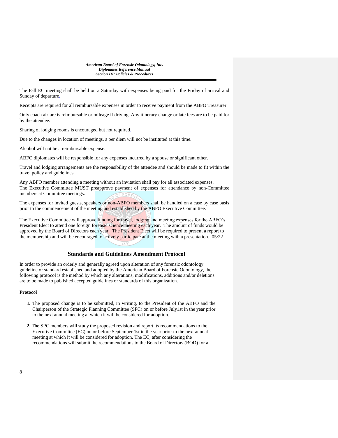The Fall EC meeting shall be held on a Saturday with expenses being paid for the Friday of arrival and Sunday of departure.

Receipts are required for all reimbursable expenses in order to receive payment from the ABFO Treasurer.

Only coach airfare is reimbursable or mileage if driving. Any itinerary change or late fees are to be paid for by the attendee.

Sharing of lodging rooms is encouraged but not required.

Due to the changes in location of meetings, a per diem will not be instituted at this time.

Alcohol will not be a reimbursable expense.

ABFO diplomates will be responsible for any expenses incurred by a spouse or significant other.

Travel and lodging arrangements are the responsibility of the attendee and should be made to fit within the travel policy and guidelines.

Any ABFO member attending a meeting without an invitation shall pay for all associated expenses. The Executive Committee MUST preapprove payment of expenses for attendance by non-Committee members at Committee meetings.

The expenses for invited guests, speakers or non-ABFO members shall be handled on a case by case basis prior to the commencement of the meeting and established by the ABFO Executive Committee.

The Executive Committee will approve funding for travel, lodging and meeting expenses for the ABFO's President Elect to attend one foreign forensic science meeting each year. The amount of funds would be approved by the Board of Directors each year. The President Elect will be required to present a report to the membership and will be encouraged to actively participate at the meeting with a presentation. 05/22

### **Standards and Guidelines Amendment Protocol**

In order to provide an orderly and generally agreed upon alteration of any forensic odontology guideline or standard established and adopted by the American Board of Forensic Odontology, the following protocol is the method by which any alterations, modifications, additions and/or deletions are to be made to published accepted guidelines or standards of this organization.

### **Protocol**

- **1.** The proposed change is to be submitted, in writing, to the President of the ABFO and the Chairperson of the Strategic Planning Committee (SPC) on or before July1st in the year prior to the next annual meeting at which it will be considered for adoption.
- **2.** The SPC members will study the proposed revision and report its recommendations to the Executive Committee (EC) on or before September 1st in the year prior to the next annual meeting at which it will be considered for adoption. The EC, after considering the recommendations will submit the recommendations to the Board of Directors (BOD) for a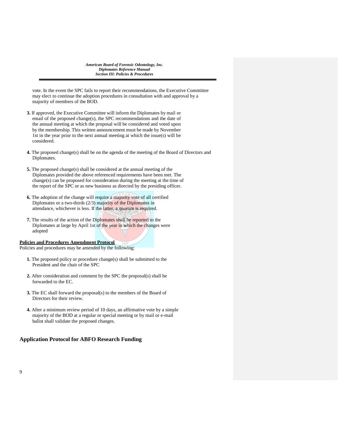vote. In the event the SPC fails to report their recommendations, the Executive Committee may elect to continue the adoption procedures in consultation with and approval by a majority of members of the BOD.

- **3.** If approved, the Executive Committee will inform the Diplomates by mail or email of the proposed change(s), the SPC recommendations and the date of the annual meeting at which the proposal will be considered and voted upon by the membership. This written announcement must be made by November 1st in the year prior to the next annual meeting at which the issue(s) will be considered.
- **4.** The proposed change(s) shall be on the agenda of the meeting of the Board of Directors and Diplomates.
- **5.** The proposed change(s) shall be considered at the annual meeting of the Diplomates provided the above referenced requirements have been met. The change(s) can be proposed for consideration during the meeting at the time of the report of the SPC or as new business as directed by the presiding officer.
- **6.** The adoption of the change will require a majority vote of all certified Diplomates or a two-thirds (2/3) majority of the Diplomates in attendance, whichever is less. If the latter, a quorum is required.
- **7.** The results of the action of the Diplomates shall be reported to the Diplomates at large by April 1st of the year in which the changes were adopted

#### **Policies and Procedures Amendment Protocol**

Policies and procedures may be amended by the following:

- **1.** The proposed policy or procedure change(s) shall be submitted to the President and the chair of the SPC
- **2.** After consideration and comment by the SPC the proposal(s) shall be forwarded to the EC.
- **3.** The EC shall forward the proposal(s) to the members of the Board of Directors for their review.
- **4.** After a minimum review period of 10 days, an affirmative vote by a simple majority of the BOD at a regular or special meeting or by mail or e-mail ballot shall validate the proposed changes.

### <span id="page-9-0"></span>**Application Protocol for ABFO Research Funding**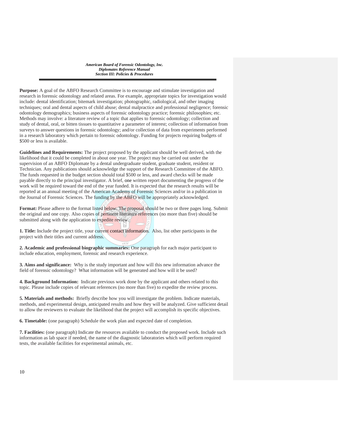**Purpose:** A goal of the ABFO Research Committee is to encourage and stimulate investigation and research in forensic odontology and related areas. For example, appropriate topics for investigation would include: dental identification; bitemark investigation; photographic, radiological, and other imaging techniques; oral and dental aspects of child abuse; dental malpractice and professional negligence; forensic odontology demographics; business aspects of forensic odontology practice; forensic philosophies; etc. Methods may involve: a literature review of a topic that applies to forensic odontology; collection and study of dental, oral, or bitten tissues to quantitative a parameter of interest; collection of information from surveys to answer questions in forensic odontology; and/or collection of data from experiments performed in a research laboratory which pertain to forensic odontology. Funding for projects requiring budgets of \$500 or less is available.

**Guidelines and Requirements:** The project proposed by the applicant should be well derived, with the likelihood that it could be completed in about one year. The project may be carried out under the supervision of an ABFO Diplomate by a dental undergraduate student, graduate student, resident or Technician. Any publications should acknowledge the support of the Research Committee of the ABFO. The funds requested in the budget section should total \$500 or less, and award checks will be made payable directly to the principal investigator. A brief, one written report documenting the progress of the work will be required toward the end of the year funded. It is expected that the research results will be reported at an annual meeting of the American Academy of Forensic Sciences and/or in a publication in the Journal of Forensic Sciences. The funding by the ABFO will be appropriately acknowledged.

Format: Please adhere to the format listed below. The proposal should be two or three pages long. Submit the original and one copy. Also copies of pertinent literature references (no more than five) should be submitted along with the application to expedite review.

**1. Title:** Include the project title, your current contact information. Also, list other participants in the project with their titles and current address.

**2. Academic and professional biographic summaries:** One paragraph for each major participant to include education, employment, forensic and research experience.

**3. Aims and significance:** Why is the study important and how will this new information advance the field of forensic odontology? What information will be generated and how will it be used?

**4. Background Information:** Indicate previous work done by the applicant and others related to this topic. Please include copies of relevant references (no more than five) to expedite the review process.

**5. Materials and methods:** Briefly describe how you will investigate the problem. Indicate materials, methods, and experimental design, anticipated results and how they will be analyzed. Give sufficient detail to allow the reviewers to evaluate the likelihood that the project will accomplish its specific objectives.

**6. Timetable:** (one paragraph) Schedule the work plan and expected date of completion.

**7. Facilities:** (one paragraph) Indicate the resources available to conduct the proposed work. Include such information as lab space if needed, the name of the diagnostic laboratories which will perform required tests, the available facilities for experimental animals, etc.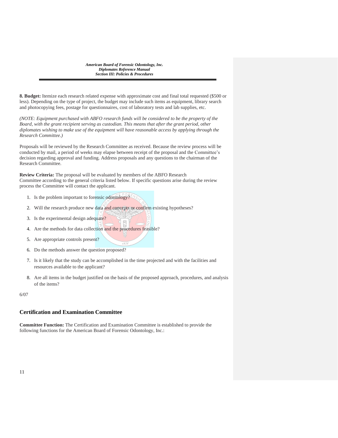**8. Budget:** Itemize each research related expense with approximate cost and final total requested (\$500 or less). Depending on the type of project, the budget may include such items as equipment, library search and photocopying fees, postage for questionnaires, cost of laboratory tests and lab supplies, etc.

*(NOTE: Equipment purchased with ABFO research funds will be considered to be the property of the Board, with the grant recipient serving as custodian. This means that after the grant period, other diplomates wishing to make use of the equipment will have reasonable access by applying through the Research Committee.)*

Proposals will be reviewed by the Research Committee as received. Because the review process will be conducted by mail, a period of weeks may elapse between receipt of the proposal and the Committee's decision regarding approval and funding. Address proposals and any questions to the chairman of the Research Committee.

**Review Criteria:** The proposal will be evaluated by members of the ABFO Research Committee according to the general criteria listed below. If specific questions arise during the review process the Committee will contact the applicant.

- 1. Is the problem important to forensic odontology?
- 2. Will the research produce new data and concepts or confirm existing hypotheses?
- 3. Is the experimental design adequate?
- 4. Are the methods for data collection and the procedures feasible?
- 5. Are appropriate controls present?
- 6. Do the methods answer the question proposed?
- 7. Is it likely that the study can be accomplished in the time projected and with the facilities and resources available to the applicant?
- 8. Are all items in the budget justified on the basis of the proposed approach, procedures, and analysis of the items?

6/07

### <span id="page-11-0"></span>**Certification and Examination Committee**

**Committee Function:** The Certification and Examination Committee is established to provide the following functions for the American Board of Forensic Odontology, Inc.: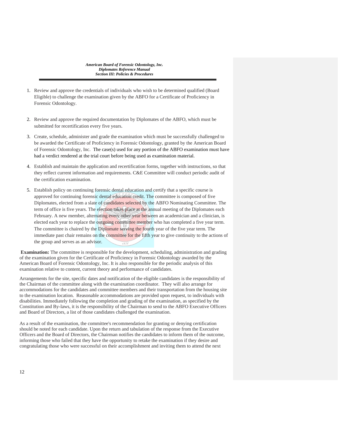- 1. Review and approve the credentials of individuals who wish to be determined qualified (Board Eligible) to challenge the examination given by the ABFO for a Certificate of Proficiency in Forensic Odontology.
- 2. Review and approve the required documentation by Diplomates of the ABFO, which must be submitted for recertification every five years.
- 3. Create, schedule, administer and grade the examination which must be successfully challenged to be awarded the Certificate of Proficiency in Forensic Odontology, granted by the American Board of Forensic Odontology, Inc. The case(s) used for any portion of the ABFO examination must have had a verdict rendered at the trial court before being used as examination material.
- 4. Establish and maintain the application and recertification forms, together with instructions, so that they reflect current information and requirements. C&E Committee will conduct periodic audit of the certification examination.
- 5. Establish policy on continuing forensic dental education and certify that a specific course is approved for continuing forensic dental education credit. The committee is composed of five Diplomates, elected from a slate of candidates selected by the ABFO Nominating Committee. The term of office is five years. The election takes place at the annual meeting of the Diplomates each February. A new member, alternating every other year between an academician and a clinician, is elected each year to replace the outgoing committee member who has completed a five year term. The committee is chaired by the Diplomate serving the fourth year of the five year term. The immediate past chair remains on the committee for the fifth year to give continuity to the actions of the group and serves as an advisor.

**Examination:** The committee is responsible for the development, scheduling, administration and grading of the examination given for the Certificate of Proficiency in Forensic Odontology awarded by the American Board of Forensic Odontology, Inc. It is also responsible for the periodic analysis of this examination relative to content, current theory and performance of candidates.

Arrangements for the site, specific dates and notification of the eligible candidates is the responsibility of the Chairman of the committee along with the examination coordinator. They will also arrange for accommodations for the candidates and committee members and their transportation from the housing site to the examination location. Reasonable accommodations are provided upon request, to individuals with disabilities. Immediately following the completion and grading of the examination, as specified by the Constitution and By-laws, it is the responsibility of the Chairman to send to the ABFO Executive Officers and Board of Directors, a list of those candidates challenged the examination.

As a result of the examination, the committee's recommendation for granting or denying certification should be noted for each candidate. Upon the return and tabulation of the response from the Executive Officers and the Board of Directors, the Chairman notifies the candidates to inform them of the outcome, informing those who failed that they have the opportunity to retake the examination if they desire and congratulating those who were successful on their accomplishment and inviting them to attend the next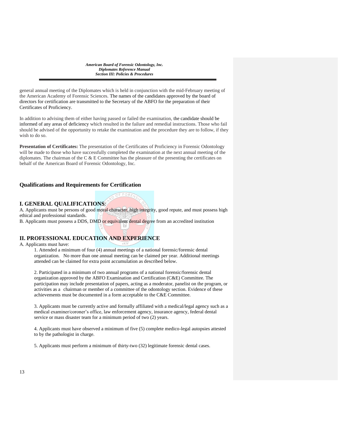general annual meeting of the Diplomates which is held in conjunction with the mid-February meeting of the American Academy of Forensic Sciences. The names of the candidates approved by the board of directors for certification are transmitted to the Secretary of the ABFO for the preparation of their Certificates of Proficiency.

In addition to advising them of either having passed or failed the examination, the candidate should be informed of any areas of deficiency which resulted in the failure and remedial instructions. Those who fail should be advised of the opportunity to retake the examination and the procedure they are to follow, if they wish to do so.

**Presentation of Certificates:** The presentation of the Certificates of Proficiency in Forensic Odontology will be made to those who have successfully completed the examination at the next annual meeting of the diplomates. The chairman of the C  $\&$  E Committee has the pleasure of the presenting the certificates on behalf of the American Board of Forensic Odontology, Inc.

### <span id="page-13-0"></span>**Qualifications and Requirements for Certification**

### **I. GENERAL QUALIFICATIONS**:

A. Applicants must be persons of good moral character, high integrity, good repute, and must possess high ethical and professional standards.

B. Applicants must possess a DDS, DMD or equivalent dental degree from an accredited institution

### **II. PROFESSIONAL EDUCATION AND EXPERIENCE**

### A. Applicants must have:

1. Attended a minimum of four (4) annual meetings of a national forensic/forensic dental organization. No more than one annual meeting can be claimed per year. Additional meetings attended can be claimed for extra point accumulation as described below.

2. Participated in a minimum of two annual programs of a national forensic/forensic dental organization approved by the ABFO Examination and Certification (C&E) Committee. The participation may include presentation of papers, acting as a moderator, panelist on the program, or activities as a chairman or member of a committee of the odontology section. Evidence of these achievements must be documented in a form acceptable to the C&E Committee.

3. Applicants must be currently active and formally affiliated with a medical/legal agency such as a medical examiner/coroner's office, law enforcement agency, insurance agency, federal dental service or mass disaster team for a minimum period of two (2) years.

4. Applicants must have observed a minimum of five (5) complete medico-legal autopsies attested to by the pathologist in charge.

5. Applicants must perform a minimum of thirty-two (32) legitimate forensic dental cases.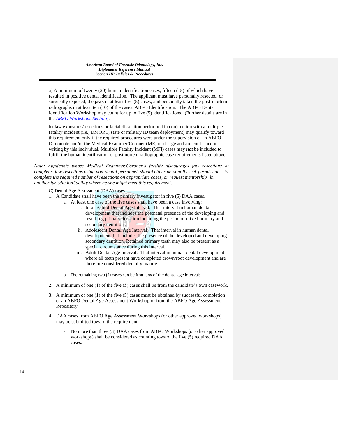a) A minimum of twenty (20) human identification cases, fifteen (15) of which have resulted in positive dental identification. The applicant must have personally resected, or surgically exposed, the jaws in at least five (5) cases, and personally taken the post-mortem radiographs in at least ten (10) of the cases. ABFO Identification. The ABFO Dental Identification Workshop may count for up to five (5) identifications. (Further details are in the *[ABFO Workshops Section](#page-28-0)*).

b) Jaw exposures/resections or facial dissection performed in conjunction with a multiple fatality incident (i.e., DMORT, state or military ID team deployment) may qualify toward this requirement only if the required procedures were under the supervision of an ABFO Diplomate and/or the Medical Examiner/Coroner (ME) in charge and are confirmed in writing by this individual. Multiple Fatality Incident (MFI) cases may *not* be included to fulfill the human identification or postmortem radiographic case requirements listed above.

*Note: Applicants whose Medical Examiner/Coroner's facility discourages jaw resections or completes jaw resections using non-dental personnel, should either personally seek permission to complete the required number of resections on appropriate cases, or request mentorship in another jurisdiction/facility where he/she might meet this requirement.* 

- C) Dental Age Assessment (DAA) cases
- 1. A Candidate shall have been the primary investigator in five (5) DAA cases.
	- a. At least one case of the five cases shall have been a case involving:
		- i. Infant/Child Dental Age Interval: That interval in human dental development that includes the postnatal presence of the developing and resorbing primary dentition including the period of mixed primary and secondary dentitions.
		- ii. Adolescent Dental Age Interval: That interval in human dental development that includes the presence of the developed and developing secondary dentition. Retained primary teeth may also be present as a special circumstance during this interval.
		- iii. Adult Dental Age Interval: That interval in human dental development where all teeth present have completed crown/root development and are therefore considered dentally mature.
		- b. The remaining two (2) cases can be from any of the dental age intervals.
- 2. A minimum of one (1) of the five (5) cases shall be from the candidate's own casework.
- 3. A minimum of one (1) of the five (5) cases must be obtained by successful completion of an ABFO Dental Age Assessment Workshop or from the ABFO Age Assessment Repository
- 4. DAA cases from ABFO Age Assessment Workshops (or other approved workshops) may be submitted toward the requirement.
	- a. No more than three (3) DAA cases from ABFO Workshops (or other approved workshops) shall be considered as counting toward the five (5) required DAA cases.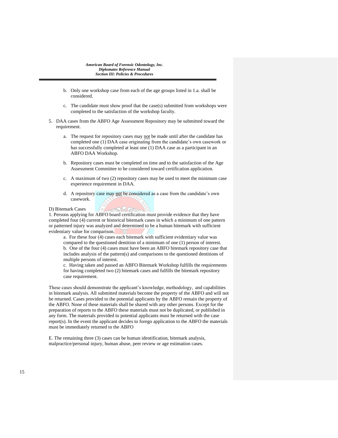- b. Only one workshop case from each of the age groups listed in 1.a. shall be considered.
- c. The candidate must show proof that the case(s) submitted from workshops were completed to the satisfaction of the workshop faculty.
- 5. DAA cases from the ABFO Age Assessment Repository may be submitted toward the requirement.
	- a. The request for repository cases may not be made until after the candidate has completed one (1) DAA case originating from the candidate's own casework or has successfully completed at least one (1) DAA case as a participant in an ABFO DAA Workshop.
	- b. Repository cases must be completed on time and to the satisfaction of the Age Assessment Committee to be considered toward certification application.
	- c. A maximum of two (2) repository cases may be used to meet the minimum case experience requirement in DAA.
	- d. A repository case may not be considered as a case from the candidate's own casework.
- D) Bitemark Cases

1. Persons applying for ABFO board certification must provide evidence that they have completed four (4) current or historical bitemark cases in which a minimum of one pattern or patterned injury was analyzed and determined to be a human bitemark with sufficient evidentiary value for comparison.

 $-0.06$ 

a. For these four (4) cases each bitemark with sufficient evidentiary value was compared to the questioned dentition of a minimum of one (1) person of interest. b. One of the four (4) cases must have been an ABFO bitemark repository case that includes analysis of the pattern(s) and comparisons to the questioned dentitions of multiple persons of interest.

c. Having taken and passed an ABFO Bitemark Workshop fulfills the requirements for having completed two (2) bitemark cases and fulfills the bitemark repository case requirement.

These cases should demonstrate the applicant's knowledge, methodology, and capabilities in bitemark analysis. All submitted materials become the property of the ABFO and will not be returned. Cases provided to the potential applicants by the ABFO remain the property of the ABFO. None of these materials shall be shared with any other persons. Except for the preparation of reports to the ABFO these materials must not be duplicated, or published in any form. The materials provided to potential applicants must be returned with the case report(s). In the event the applicant decides to forego application to the ABFO the materials must be immediately returned to the ABFO

E. The remaining three (3) cases can be human identification, bitemark analysis, malpractice/personal injury, human abuse, peer review or age estimation cases.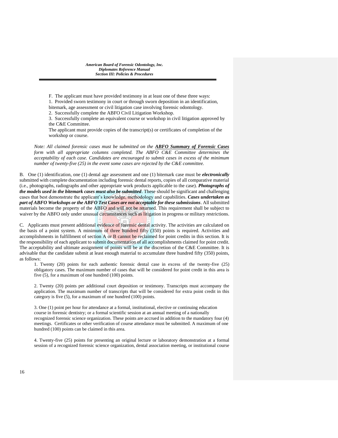F. The applicant must have provided testimony in at least one of these three ways:

1. Provided sworn testimony in court or through sworn deposition in an identification,

bitemark, age assessment or civil litigation case involving forensic odontology.

2. Successfully complete the ABFO Civil Litigation Workshop.

3. Successfully complete an equivalent course or workshop in civil litigation approved by the C&E Committee.

The applicant must provide copies of the transcript(s) or certificates of completion of the workshop or course.

*Note: All claimed forensic cases must be submitted on the ABFO Summary of Forensic Cases* form with all appropriate columns completed. The ABFO C&E Committee determines the *acceptability of each case. Candidates are encouraged to submit cases in excess of the minimum number of twenty-five (25) in the event some cases are rejected by the C&E committee.* 

B. One (1) identification, one (1) dental age assessment and one (1) bitemark case must be *electronically*  submitted with complete documentation including forensic dental reports, copies of all comparative material (i.e., photographs, radiographs and other appropriate work products applicable to the case). *Photographs of the models used in the bitemark cases must also be submitted*. These should be significant and challenging cases that best demonstrate the applicant's knowledge, methodology and capabilities. *Cases undertaken as part of ABFO Workshops or the ABFO Test Cases are not acceptable for these submissions*. All submitted materials become the property of the ABFO and will not be returned. This requirement shall be subject to waiver by the ABFO only under unusual circumstances such as litigation in progress or military restrictions.

C. Applicants must present additional evidence of forensic dental activity. The activities are calculated on the basis of a point system. A minimum of three hundred fifty (350) points is required. Activities and accomplishments in fulfillment of section A or B cannot be reclaimed for point credits in this section. It is the responsibility of each applicant to submit documentation of all accomplishments claimed for point credit. The acceptability and ultimate assignment of points will be at the discretion of the C&E Committee. It is advisable that the candidate submit at least enough material to accumulate three hundred fifty (350) points, as follows:

1. Twenty (20) points for each authentic forensic dental case in excess of the twenty-five (25) obligatory cases. The maximum number of cases that will be considered for point credit in this area is five (5), for a maximum of one hundred (100) points.

2. Twenty (20) points per additional court deposition or testimony. Transcripts must accompany the application. The maximum number of transcripts that will be considered for extra point credit in this category is five (5), for a maximum of one hundred (100) points.

3. One (1) point per hour for attendance at a formal, institutional, elective or continuing education course in forensic dentistry; or a formal scientific session at an annual meeting of a nationally recognized forensic science organization. These points are accrued in addition to the mandatory four (4) meetings. Certificates or other verification of course attendance must be submitted. A maximum of one hundred (100) points can be claimed in this area.

4. Twenty-five (25) points for presenting an original lecture or laboratory demonstration at a formal session of a recognized forensic science organization, dental association meeting, or institutional course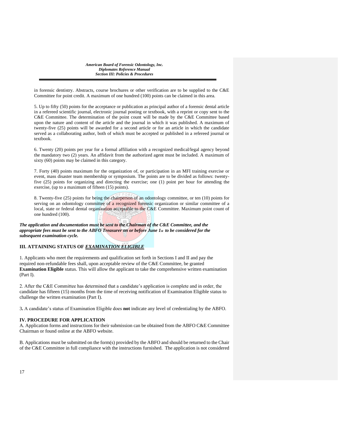in forensic dentistry. Abstracts, course brochures or other verification are to be supplied to the C&E Committee for point credit. A maximum of one hundred (100) points can be claimed in this area.

5. Up to fifty (50) points for the acceptance or publication as principal author of a forensic dental article in a refereed scientific journal, electronic journal posting or textbook, with a reprint or copy sent to the C&E Committee. The determination of the point count will be made by the C&E Committee based upon the nature and content of the article and the journal in which it was published. A maximum of twenty-five (25) points will be awarded for a second article or for an article in which the candidate served as a collaborating author, both of which must be accepted or published in a refereed journal or textbook.

6. Twenty (20) points per year for a formal affiliation with a recognized medical/legal agency beyond the mandatory two (2) years. An affidavit from the authorized agent must be included. A maximum of sixty (60) points may be claimed in this category.

7. Forty (40) points maximum for the organization of, or participation in an MFI training exercise or event, mass disaster team membership or symposium. The points are to be divided as follows: twentyfive (25) points for organizing and directing the exercise; one (1) point per hour for attending the exercise, (up to a maximum of fifteen (15) points).

8. Twenty-five (25) points for being the chairperson of an odontology committee, or ten (10) points for serving on an odontology committee of a recognized forensic organization or similar committee of a local, state or federal dental organization acceptable to the C&E Committee. Maximum point count of one hundred (100).

*The application and documentation must be sent to the Chairman of the C&E Committee, and the appropriate fees must be sent to the ABFO Treasurer on or before June 1st to be considered for the subsequent examination cycle.* 

### **III. ATTAINING STATUS OF** *EXAMINATION ELIGIBLE*

1. Applicants who meet the requirements and qualification set forth in Sections I and II and pay the required non-refundable fees shall, upon acceptable review of the C&E Committee, be granted **Examination Eligible** status. This will allow the applicant to take the comprehensive written examination (Part I).

2. After the C&E Committee has determined that a candidate's application is complete and in order, the candidate has fifteen (15) months from the time of receiving notification of Examination Eligible status to challenge the written examination (Part I).

3**.** A candidate's status of Examination Eligible does **not** indicate any level of credentialing by the ABFO.

### **IV. PROCEDURE FOR APPLICATION**

A. Application forms and instructions for their submission can be obtained from the ABFO C&E Committee Chairman or found online at the ABFO website.

B. Applications must be submitted on the form(s) provided by the ABFO and should be returned to the Chair of the C&E Committee in full compliance with the instructions furnished. The application is not considered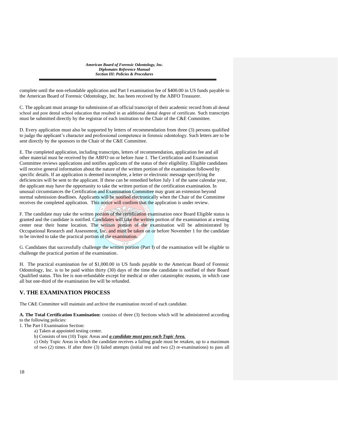complete until the non-refundable application and Part I examination fee of \$400.00 in US funds payable to the American Board of Forensic Odontology, Inc. has been received by the ABFO Treasurer.

C. The applicant must arrange for submission of an official transcript of their academic record from all dental school and post dental school education that resulted in an additional dental degree of certificate. Such transcripts must be submitted directly by the registrar of each institution to the Chair of the C&E Committee.

D. Every application must also be supported by letters of recommendation from three (3) persons qualified to judge the applicant's character and professional competence in forensic odontology. Such letters are to be sent directly by the sponsors to the Chair of the C&E Committee.

E. The completed application, including transcripts, letters of recommendation, application fee and all other material must be received by the ABFO on or before June 1. The Certification and Examination Committee reviews applications and notifies applicants of the status of their eligibility. Eligible candidates will receive general information about the nature of the written portion of the examination followed by specific details. If an application is deemed incomplete, a letter or electronic message specifying the deficiencies will be sent to the applicant. If these can be remedied before July 1 of the same calendar year, the applicant may have the opportunity to take the written portion of the certification examination. In unusual circumstances the Certification and Examination Committee may grant an extension beyond normal submission deadlines. Applicants will be notified electronically when the Chair of the Committee receives the completed application. This notice will confirm that the application is under review.

F. The candidate may take the written portion of the certification examination once Board Eligible status is granted and the candidate is notified. Candidates will take the written portion of the examination at a testing center near their home location. The written portion of the examination will be administrated by Occupational Research and Assessment, Inc. and must be taken on or before November 1 for the candidate to be invited to take the practical portion of the examination.

G. Candidates that successfully challenge the written portion (Part I) of the examination will be eligible to challenge the practical portion of the examination.

H. The practical examination fee of \$1,000.00 in US funds payable to the American Board of Forensic Odontology, Inc. is to be paid within thirty (30) days of the time the candidate is notified of their Board Qualified status. This fee is non-refundable except for medical or other catastrophic reasons, in which case all but one-third of the examination fee will be refunded.

### **V. THE EXAMINATION PROCESS**

The C&E Committee will maintain and archive the examination record of each candidate.

**A. The Total Certification Examination:** consists of three (3) Sections which will be administered according to the following policies:

- 1. The Part I Examination Section:
	- a) Taken at appointed testing center.

b) Consists of ten (10) Topic Areas and *a candidate must pass each Topic Area.*

c) Only Topic Areas in which the candidate receives a failing grade must be retaken, up to a maximum of two (2) times. If after three (3) failed attempts (initial test and two (2) re-examinations) to pass all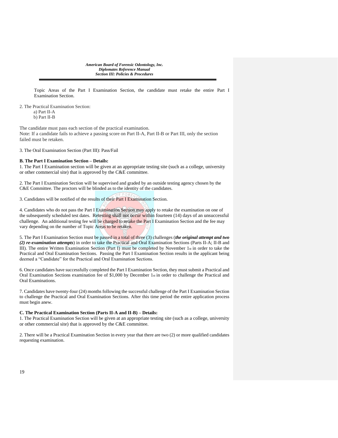Topic Areas of the Part I Examination Section, the candidate must retake the entire Part I Examination Section.

2. The Practical Examination Section:

a) Part II-A

b) Part II-B

The candidate must pass each section of the practical examination. Note: If a candidate fails to achieve a passing score on Part II-A, Part II-B or Part III, only the section failed must be retaken.

3. The Oral Examination Section (Part III): Pass/Fail

#### **B. The Part I Examination Section – Details:**

1. The Part I Examination section will be given at an appropriate testing site (such as a college, university or other commercial site) that is approved by the C&E committee.

2. The Part I Examination Section will be supervised and graded by an outside testing agency chosen by the C&E Committee. The proctors will be blinded as to the identity of the candidates.

3. Candidates will be notified of the results of their Part I Examination Section.

4. Candidates who do not pass the Part I Examination Section may apply to retake the examination on one of the subsequently scheduled test dates. Retesting shall not occur within fourteen (14) days of an unsuccessful challenge. An additional testing fee will be charged to retake the Part I Examination Section and the fee may vary depending on the number of Topic Areas to be retaken.

5. The Part I Examination Section must be passed in a total of three (3) challenges (*the original attempt and two (2) re-examination attempts*) in order to take the Practical and Oral Examination Sections (Parts II-A; II-B and III). The entire Written Examination Section (Part I) must be completed by November 1 $st$  in order to take the Practical and Oral Examination Sections. Passing the Part I Examination Section results in the applicant being deemed a "Candidate" for the Practical and Oral Examination Sections.

6. Once candidates have successfully completed the Part I Examination Section, they must submit a Practical and Oral Examination Sections examination fee of  $$1,000$  by December 1st in order to challenge the Practical and Oral Examinations.

7. Candidates have twenty-four (24) months following the successful challenge of the Part I Examination Section to challenge the Practical and Oral Examination Sections. After this time period the entire application process must begin anew.

### **C. The Practical Examination Section (Parts II-A and II-B) – Details:**

1. The Practical Examination Section will be given at an appropriate testing site (such as a college, university or other commercial site) that is approved by the C&E committee.

2. There will be a Practical Examination Section in every year that there are two (2) or more qualified candidates requesting examination.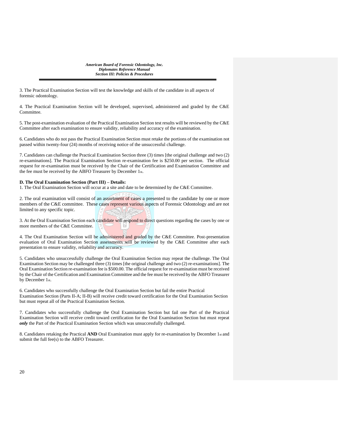3. The Practical Examination Section will test the knowledge and skills of the candidate in all aspects of forensic odontology.

4. The Practical Examination Section will be developed, supervised, administered and graded by the C&E Committee.

5. The post-examination evaluation of the Practical Examination Section test results will be reviewed by the C&E Committee after each examination to ensure validity, reliability and accuracy of the examination.

6. Candidates who do not pass the Practical Examination Section must retake the portions of the examination not passed within twenty-four (24) months of receiving notice of the unsuccessful challenge.

7. Candidates can challenge the Practical Examination Section three (3) times [the original challenge and two (2) re-examinations]. The Practical Examination Section re-examination fee is \$250.00 per section. The official request for re-examination must be received by the Chair of the Certification and Examination Committee and the fee must be received by the ABFO Treasurer by December 1st.

#### **D. The Oral Examination Section (Part III) – Details:**

1. The Oral Examination Section will occur at a site and date to be determined by the C&E Committee.

2. The oral examination will consist of an assortment of cases a presented to the candidate by one or more members of the C&E committee. These cases represent various aspects of Forensic Odontology and are not limited to any specific topic.

3. At the Oral Examination Section each candidate will respond to direct questions regarding the cases by one or more members of the C&E Committee.

4. The Oral Examination Section will be administered and graded by the C&E Committee. Post-presentation evaluation of Oral Examination Section assessments will be reviewed by the C&E Committee after each presentation to ensure validity, reliability and accuracy.

5. Candidates who unsuccessfully challenge the Oral Examination Section may repeat the challenge. The Oral Examination Section may be challenged three (3) times [the original challenge and two (2) re-examinations]. The Oral Examination Section re-examination fee is \$500.00. The official request for re-examination must be received by the Chair of the Certification and Examination Committee and the fee must be received by the ABFO Treasurer by December 1st.

6. Candidates who successfully challenge the Oral Examination Section but fail the entire Practical Examination Section (Parts II-A; II-B) will receive credit toward certification for the Oral Examination Section but must repeat all of the Practical Examination Section.

7. Candidates who successfully challenge the Oral Examination Section but fail one Part of the Practical Examination Section will receive credit toward certification for the Oral Examination Section but must repeat *only* the Part of the Practical Examination Section which was unsuccessfully challenged.

8. Candidates retaking the Practical **AND** Oral Examination must apply for re-examination by December 1st and submit the full fee(s) to the ABFO Treasurer.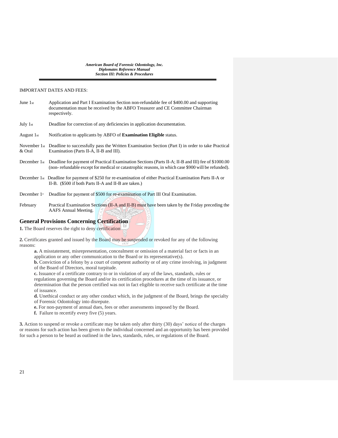IMPORTANT DATES AND FEES:

| June $1st$             | Application and Part I Examination Section non-refundable fee of \$400.00 and supporting<br>documentation must be received by the ABFO Treasurer and CE Committee Chairman<br>respectively.                                       |
|------------------------|-----------------------------------------------------------------------------------------------------------------------------------------------------------------------------------------------------------------------------------|
| July $1st$             | Deadline for correction of any deficiencies in application documentation.                                                                                                                                                         |
| August 1 <sub>st</sub> | Notification to applicants by ABFO of <b>Examination Eligible</b> status.                                                                                                                                                         |
| & Oral                 | November 1st Deadline to successfully pass the Written Examination Section (Part I) in order to take Practical<br>Examination (Parts II-A, II-B and III).                                                                         |
|                        | December 1 <sub>st</sub> Deadline for payment of Practical Examination Sections (Parts II-A; II-B and III) fee of \$1000.00<br>(non-refundable except for medical or catastrophic reasons, in which case \$900 will be refunded). |
|                        | December 1st Deadline for payment of \$250 for re-examination of either Practical Examination Parts II-A or<br>II-B. (\$500 if both Parts II-A and II-B are taken.)                                                               |

- December 1<sup>s</sup> Deadline for payment of \$500 for re-examination of Part III Oral Examination.
- February Practical Examination Sections (II-A and II-B) must have been taken by the Friday preceding the AAFS Annual Meeting.

### <span id="page-21-0"></span>**General Provisions Concerning Certification**

**1.** The Board reserves the right to deny certification

**2.** Certificates granted and issued by the Board may be suspended or revoked for any of the following reasons:

**a.** A misstatement, misrepresentation, concealment or omission of a material fact or facts in an application or any other communication to the Board or its representative(s).

**b.** Conviction of a felony by a court of competent authority or of any crime involving, in judgment of the Board of Directors, moral turpitude.

**c.** Issuance of a certificate contrary to or in violation of any of the laws, standards, rules or regulations governing the Board and/or its certification procedures at the time of its issuance, or determination that the person certified was not in fact eligible to receive such certificate at the time of issuance.

**d.** Unethical conduct or any other conduct which, in the judgment of the Board, brings the specialty of Forensic Odontology into disrepute.

**e.** For non-payment of annual dues, fees or other assessments imposed by the Board.

**f.** Failure to recertify every five (5) years.

**3.** Action to suspend or revoke a certificate may be taken only after thirty (30) days' notice of the charges or reasons for such action has been given to the individual concerned and an opportunity has been provided for such a person to be heard as outlined in the laws, standards, rules, or regulations of the Board.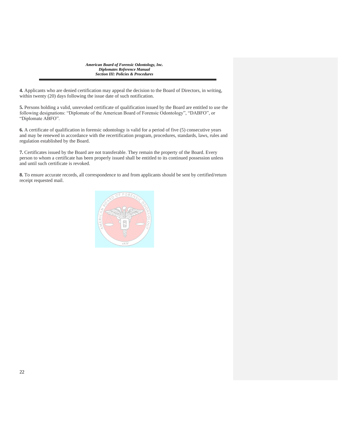**4.** Applicants who are denied certification may appeal the decision to the Board of Directors, in writing, within twenty (20) days following the issue date of such notification.

**5.** Persons holding a valid, unrevoked certificate of qualification issued by the Board are entitled to use the following designations: "Diplomate of the American Board of Forensic Odontology", "DABFO", or "Diplomate ABFO".

**6.** A certificate of qualification in forensic odontology is valid for a period of five (5) consecutive years and may be renewed in accordance with the recertification program, procedures, standards, laws, rules and regulation established by the Board.

**7.** Certificates issued by the Board are not transferable. They remain the property of the Board. Every person to whom a certificate has been properly issued shall be entitled to its continued possession unless and until such certificate is revoked.

**8.** To ensure accurate records, all correspondence to and from applicants should be sent by certified/return receipt requested mail.

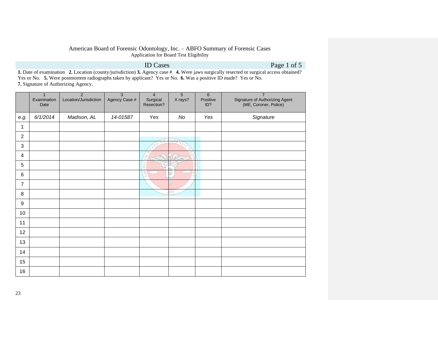### American Board of Forensic Odontology, Inc. – ABFO Summary of Forensic Cases Application for Board Test Eligibility

### **ID Cases** Page 1 of 5

**1.** Date of examination **2.** Location (county/jurisdiction) **3.** Agency case # **4.** Were jaws surgically resected or surgical access obtained? Yes or No. **5.** Were postmortem radiographs taken by applicant? Yes or No. **6.** Was a positive ID made? Yes or No. **7.** Signature of Authorizing Agency.

|                  | $\overline{1}$<br>Examination<br>Date | $\overline{2}$<br>Location/Jurisdiction | $\overline{3}$<br>Agency Case # | $\overline{4}$<br>Surgical<br>Resection? | $\overline{5}$<br>X rays? | $\,6\,$<br>Positive<br>ID? | $\overline{7}$<br>Signature of Authorizing Agent<br>(ME, Coroner, Police) |
|------------------|---------------------------------------|-----------------------------------------|---------------------------------|------------------------------------------|---------------------------|----------------------------|---------------------------------------------------------------------------|
| e.g.             | 6/1/2014                              | Madison, AL                             | 14-01587                        | Yes                                      | No                        | Yes                        | Signature                                                                 |
| 1                |                                       |                                         |                                 |                                          |                           |                            |                                                                           |
| $\overline{2}$   |                                       |                                         |                                 |                                          |                           |                            |                                                                           |
| $\mathbf{3}$     |                                       |                                         |                                 |                                          |                           |                            |                                                                           |
| $\overline{4}$   |                                       |                                         |                                 |                                          |                           |                            |                                                                           |
| $\overline{5}$   |                                       |                                         |                                 | $\infty$                                 |                           |                            |                                                                           |
| $6\phantom{1}$   |                                       |                                         |                                 |                                          |                           |                            |                                                                           |
| $\overline{7}$   |                                       |                                         |                                 |                                          |                           |                            |                                                                           |
| 8                |                                       |                                         |                                 |                                          | 175                       |                            |                                                                           |
| $\boldsymbol{9}$ |                                       |                                         |                                 |                                          |                           |                            |                                                                           |
| $10$             |                                       |                                         |                                 |                                          |                           |                            |                                                                           |
| 11               |                                       |                                         |                                 |                                          |                           |                            |                                                                           |
| 12               |                                       |                                         |                                 |                                          |                           |                            |                                                                           |
| 13               |                                       |                                         |                                 |                                          |                           |                            |                                                                           |
| 14               |                                       |                                         |                                 |                                          |                           |                            |                                                                           |
| 15               |                                       |                                         |                                 |                                          |                           |                            |                                                                           |
| 16               |                                       |                                         |                                 |                                          |                           |                            |                                                                           |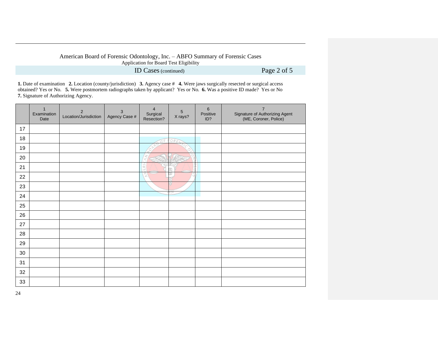### American Board of Forensic Odontology, Inc. - ABFO Summary of Forensic Cases Application for Board Test Eligibility

ID Cases (continued) Page 2 of 5

**1.** Date of examination **2.** Location (county/jurisdiction) **3.** Agency case # **4.** Were jaws surgically resected or surgical access obtained? Yes or No. **5.** Were postmortem radiographs taken by applicant? Yes or No. **6.** Was a positive ID made? Yes or No **7.** Signature of Authorizing Agency.

|        | $\mathbf{1}$<br>Examination<br>Date | $\overline{2}$<br>Location/Jurisdiction | 3<br>Agency Case # | $\overline{4}$<br>Surgical<br>Resection? | 5<br>X rays? | $\,6$<br>Positive<br>ID? | $\overline{7}$<br>Signature of Authorizing Agent<br>(ME, Coroner, Police) |
|--------|-------------------------------------|-----------------------------------------|--------------------|------------------------------------------|--------------|--------------------------|---------------------------------------------------------------------------|
| 17     |                                     |                                         |                    |                                          |              |                          |                                                                           |
| 18     |                                     |                                         |                    | スポ                                       | ORE,         |                          |                                                                           |
| 19     |                                     |                                         |                    |                                          |              |                          |                                                                           |
| 20     |                                     |                                         |                    |                                          |              |                          |                                                                           |
| 21     |                                     |                                         |                    | $\square^{\scriptscriptstyle\mathsf{d}}$ |              |                          |                                                                           |
| 22     |                                     |                                         |                    |                                          | D            |                          |                                                                           |
| 23     |                                     |                                         |                    |                                          |              |                          |                                                                           |
| 24     |                                     |                                         |                    |                                          |              |                          |                                                                           |
| 25     |                                     |                                         |                    |                                          |              |                          |                                                                           |
| 26     |                                     |                                         |                    |                                          |              |                          |                                                                           |
| 27     |                                     |                                         |                    |                                          |              |                          |                                                                           |
| 28     |                                     |                                         |                    |                                          |              |                          |                                                                           |
| 29     |                                     |                                         |                    |                                          |              |                          |                                                                           |
| $30\,$ |                                     |                                         |                    |                                          |              |                          |                                                                           |
| 31     |                                     |                                         |                    |                                          |              |                          |                                                                           |
| 32     |                                     |                                         |                    |                                          |              |                          |                                                                           |
| 33     |                                     |                                         |                    |                                          |              |                          |                                                                           |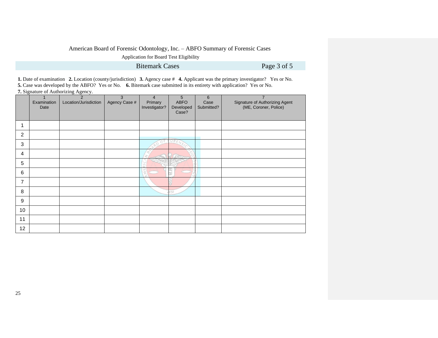### American Board of Forensic Odontology, Inc. – ABFO Summary of Forensic Cases

Application for Board Test Eligibility Application for Board Test Eligibility

### Bitemark Cases Page 3 of 5

**1.** Date of examination **2.** Location (county/jurisdiction) **3.** Agency case # **4.** Applicant was the primary investigator? Yes or No. **5.** Case was developed by the ABFO? Yes or No. **6.** Bitemark case submitted in its entirety with application? Yes or No. **7.** Signature of Authorizing Agency.

|                | Examination<br>Date | . .<br>$\overline{2}$<br>Location/Jurisdiction | 3<br>Agency Case # | $\overline{4}$<br>Primary<br>Investigator? | $5\overline{)}$<br><b>ABFO</b><br>Developed<br>Case? | 6<br>Case<br>Submitted? | $\overline{7}$<br>Signature of Authorizing Agent<br>(ME, Coroner, Police) |
|----------------|---------------------|------------------------------------------------|--------------------|--------------------------------------------|------------------------------------------------------|-------------------------|---------------------------------------------------------------------------|
| 1              |                     |                                                |                    |                                            |                                                      |                         |                                                                           |
| $\overline{2}$ |                     |                                                |                    |                                            |                                                      |                         |                                                                           |
| $\mathfrak{B}$ |                     |                                                |                    |                                            |                                                      |                         |                                                                           |
| 4              |                     |                                                |                    |                                            |                                                      |                         |                                                                           |
| $\overline{5}$ |                     |                                                |                    |                                            |                                                      |                         |                                                                           |
| 6              |                     |                                                |                    | w                                          |                                                      |                         |                                                                           |
| $\overline{7}$ |                     |                                                |                    |                                            |                                                      |                         |                                                                           |
| 8              |                     |                                                |                    |                                            | 975                                                  |                         |                                                                           |
| 9              |                     |                                                |                    |                                            |                                                      |                         |                                                                           |
| 10             |                     |                                                |                    |                                            |                                                      |                         |                                                                           |
| 11             |                     |                                                |                    |                                            |                                                      |                         |                                                                           |
| 12             |                     |                                                |                    |                                            |                                                      |                         |                                                                           |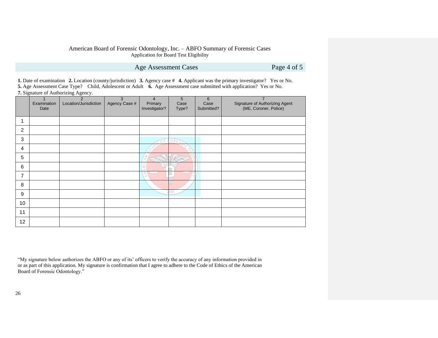### American Board of Forensic Odontology, Inc. – ABFO Summary of Forensic Cases Application for Board Test Eligibility

### Age Assessment Cases Page 4 of 5

**1.** Date of examination **2.** Location (county/jurisdiction) **3.** Agency case # **4.** Applicant was the primary investigator? Yes or No. **5.** Age Assessment Case Type? Child, Adolescent or Adult **6.** Age Assessment case submitted with application? Yes or No. **7.** Signature of Authorizing Agency.

| ັ              | Examination<br>Date | ັ<br>Č<br>$\overline{\phantom{a}}$<br>$\overline{2}$<br>Location/Jurisdiction | 3<br>Agency Case # | $\overline{4}$<br>Primary<br>Investigator? | 5<br>Case<br>Type? | 6<br>Case<br>Submitted? | $\overline{7}$<br>Signature of Authorizing Agent<br>(ME, Coroner, Police) |
|----------------|---------------------|-------------------------------------------------------------------------------|--------------------|--------------------------------------------|--------------------|-------------------------|---------------------------------------------------------------------------|
|                |                     |                                                                               |                    |                                            |                    |                         |                                                                           |
| $\overline{c}$ |                     |                                                                               |                    |                                            |                    |                         |                                                                           |
| 3              |                     |                                                                               |                    | OF                                         | FOREN              |                         |                                                                           |
| $\overline{4}$ |                     |                                                                               |                    |                                            |                    |                         |                                                                           |
| 5              |                     |                                                                               |                    |                                            |                    |                         |                                                                           |
| 6              |                     |                                                                               |                    | $\alpha$                                   |                    |                         |                                                                           |
| 7              |                     |                                                                               |                    | z                                          |                    |                         |                                                                           |
| 8              |                     |                                                                               |                    |                                            |                    |                         |                                                                           |
| 9              |                     |                                                                               |                    |                                            | 975                |                         |                                                                           |
| 10             |                     |                                                                               |                    |                                            |                    |                         |                                                                           |
| 11             |                     |                                                                               |                    |                                            |                    |                         |                                                                           |
| 12             |                     |                                                                               |                    |                                            |                    |                         |                                                                           |

"My signature below authorizes the ABFO or any of its' officers to verify the accuracy of any information provided in or as part of this application. My signature is confirmation that I agree to adhere to the Code of Ethics of the American Board of Forensic Odontology."

26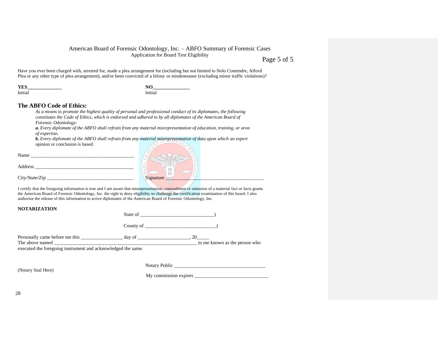### American Board of Forensic Odontology, Inc. – ABFO Summary of Forensic Cases Application for Board Test Eligibility

Page 5 of 5

Have you ever been charged with, arrested for, made a plea arrangement for (including but not limited to Nolo Contendre, Alford Plea or any other type of plea arrangement), and/or been convicted of a felony or misdemeanor (excluding minor traffic violations)?

**YES\_\_\_\_\_\_\_\_\_\_\_\_\_\_ NO\_\_\_\_\_\_\_\_\_\_\_\_\_\_\_**  Initial Initial

### **The ABFO Code of Ethics:**

 *As a means to promote the highest quality of personal and professional conduct of its diplomates, the following*  constitutes the Code of Ethics, which is endorsed and adhered to by all diplomates of the American Board of  *Forensic Odontology:* 

 *a. Every diplomate of the ABFO shall refrain from any material misrepresentation of education, training, or area of expertise.*

 *b. Every diplomate of the ABFO shall refrain from any material misrepresentation of data upon which an expert*  opinion or conclusion is based.

| Name           |           |
|----------------|-----------|
| Address        |           |
| City/State/Zip | Signature |

I certify that the foregoing information is true and I am aware that misrepresentation, concealment or omission of a material fact or facts grants the American Board of Forensic Odontology, Inc. the right to deny eligibility to challenge the certification examination of this board. I also authorize the release of this information to active diplomates of the American Board of Forensic Odontology, Inc.

### **NOTARIZATION**

|                                                                                                                                                                                                                                                                                                                                         | State of the state of the state of the state of the state of the state of the state of the state of the state of the state of the state of the state of the state of the state of the state of the state of the state of the s |                                     |
|-----------------------------------------------------------------------------------------------------------------------------------------------------------------------------------------------------------------------------------------------------------------------------------------------------------------------------------------|--------------------------------------------------------------------------------------------------------------------------------------------------------------------------------------------------------------------------------|-------------------------------------|
|                                                                                                                                                                                                                                                                                                                                         |                                                                                                                                                                                                                                |                                     |
| Personally came before me this day of<br>The above named the state of the state of the state of the state of the state of the state of the state of the state of the state of the state of the state of the state of the state of the state of the state of the state o<br>executed the foregoing instrument and acknowledged the same. |                                                                                                                                                                                                                                | 20<br>to me known as the person who |
|                                                                                                                                                                                                                                                                                                                                         | Notary Public                                                                                                                                                                                                                  |                                     |

(Notary Seal Here)

My commission expires

28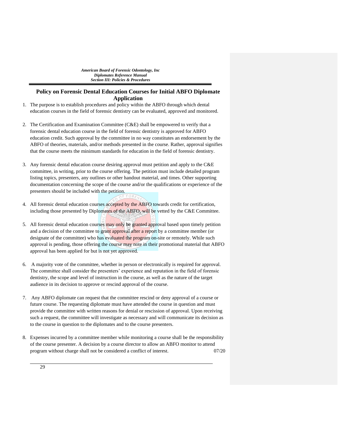### <span id="page-28-0"></span>**Policy on Forensic Dental Education Courses for Initial ABFO Diplomate Application**

- 1. The purpose is to establish procedures and policy within the ABFO through which dental education courses in the field of forensic dentistry can be evaluated, approved and monitored.
- 2. The Certification and Examination Committee (C&E) shall be empowered to verify that a forensic dental education course in the field of forensic dentistry is approved for ABFO education credit. Such approval by the committee in no way constitutes an endorsement by the ABFO of theories, materials, and/or methods presented in the course. Rather, approval signifies that the course meets the minimum standards for education in the field of forensic dentistry.
- 3. Any forensic dental education course desiring approval must petition and apply to the C&E committee, in writing, prior to the course offering. The petition must include detailed program listing topics, presenters, any outlines or other handout material, and times. Other supporting documentation concerning the scope of the course and/or the qualifications or experience of the presenters should be included with the petition.
- 4. All forensic dental education courses accepted by the ABFO towards credit for certification, including those presented by Diplomates of the ABFO, will be vetted by the C&E Committee.
- 5. All forensic dental education courses may only be granted approval based upon timely petition and a decision of the committee to grant approval after a report by a committee member (or designate of the committee) who has evaluated the program on-site or remotely. While such approval is pending, those offering the course may note in their promotional material that ABFO approval has been applied for but is not yet approved.
- 6. A majority vote of the committee, whether in person or electronically is required for approval. The committee shall consider the presenters' experience and reputation in the field of forensic dentistry, the scope and level of instruction in the course, as well as the nature of the target audience in its decision to approve or rescind approval of the course.
- 7. Any ABFO diplomate can request that the committee rescind or deny approval of a course or future course. The requesting diplomate must have attended the course in question and must provide the committee with written reasons for denial or rescission of approval. Upon receiving such a request, the committee will investigate as necessary and will communicate its decision as to the course in question to the diplomates and to the course presenters.
- 8. Expenses incurred by a committee member while monitoring a course shall be the responsibility of the course presenter. A decision by a course director to allow an ABFO monitor to attend program without charge shall not be considered a conflict of interest. 07/20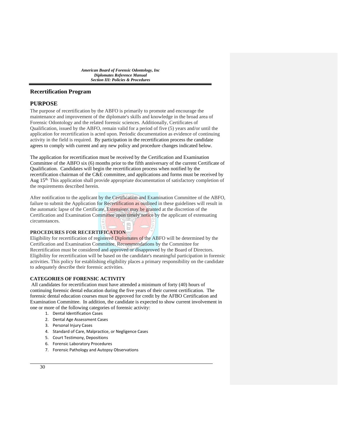### **Recertification Program**

### **PURPOSE**

The purpose of recertification by the ABFO is primarily to promote and encourage the maintenance and improvement of the diplomate's skills and knowledge in the broad area of Forensic Odontology and the related forensic sciences. Additionally, Certificates of Qualification, issued by the ABFO, remain valid for a period of five (5) years and/or until the application for recertification is acted upon. Periodic documentation as evidence of continuing activity in the field is required. By participation in the recertification process the candidate agrees to comply with current and any new policy and procedure changes indicated below.

The application for recertification must be received by the Certification and Examination Committee of the ABFO six (6) months prior to the fifth anniversary of the current Certificate of Qualification. Candidates will begin the recertification process when notified by the recertification chairman of the C&E committee, and applications and forms must be received by Aug 15<sup>th.</sup> This application shall provide appropriate documentation of satisfactory completion of the requirements described herein.

After notification to the applicant by the Certification and Examination Committee of the ABFO, failure to submit the Application for Recertification as outlined in these guidelines will result in the automatic lapse of the Certificate. Extensions may be granted at the discretion of the Certification and Examination Committee upon timely notice by the applicant of extenuating circumstances.

### **PROCEDURES FOR RECERTIFICATION**

Eligibility for recertification of registered Diplomates of the ABFO will be determined by the Certification and Examination Committee. Recommendations by the Committee for Recertification must be considered and approved or disapproved by the Board of Directors. Eligibility for recertification will be based on the candidate's meaningful participation in forensic activities. This policy for establishing eligibility places a primary responsibility on the candidate to adequately describe their forensic activities.

### **CATEGORIES OF FORENSIC ACTIVITY**

All candidates for recertification must have attended a minimum of forty (40) hours of continuing forensic dental education during the five years of their current certification. The forensic dental education courses must be approved for credit by the AFBO Certification and Examination Committee. In addition, the candidate is expected to show current involvement in one or more of the following categories of forensic activity:

- 1. Dental Identification Cases
- 2. Dental Age Assessment Cases
- 3. Personal Injury Cases
- 4. Standard of Care, Malpractice, or Negligence Cases
- 5. Court Testimony, Depositions
- 6. Forensic Laboratory Procedures
- 7. Forensic Pathology and Autopsy Observations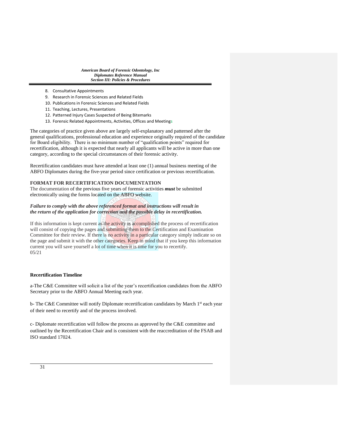- 8. Consultative Appointments
- 9. Research in Forensic Sciences and Related Fields
- 10. Publications in Forensic Sciences and Related Fields
- 11. Teaching, Lectures, Presentations
- 12. Patterned Injury Cases Suspected of Being Bitemarks
- 13. Forensic Related Appointments, Activities, Offices and Meetings

The categories of practice given above are largely self-explanatory and patterned after the general qualifications, professional education and experience originally required of the candidate for Board eligibility. There is no minimum number of "qualification points" required for recertification, although it is expected that nearly all applicants will be active in more than one category, according to the special circumstances of their forensic activity.

Recertification candidates must have attended at least one (1) annual business meeting of the ABFO Diplomates during the five-year period since certification or previous recertification.

### **FORMAT FOR RECERTIFICATION DOCUMENTATION**

The documentation of the previous five years of forensic activities *must* be submitted electronically using the forms located on the ABFO website.

### *Failure to comply with the above referenced format and instructions will result in the return of the application for correction and the possible delay in recertification.*

If this information is kept current as the activity is accomplished the process of recertification will consist of copying the pages and submitting them to the Certification and Examination Committee for their review. If there is no activity in a particular category simply indicate so on the page and submit it with the other categories. Keep in mind that if you keep this information current you will save yourself a lot of time when it is time for you to recertify. 05/21

### **Recertification Timeline**

a-The C&E Committee will solicit a list of the year's recertification candidates from the ABFO Secretary prior to the ABFO Annual Meeting each year.

b- The C&E Committee will notify Diplomate recertification candidates by March 1<sup>st</sup> each year of their need to recertify and of the process involved.

c- Diplomate recertification will follow the process as approved by the C&E committee and outlined by the Recertification Chair and is consistent with the reaccreditation of the FSAB and ISO standard 17024.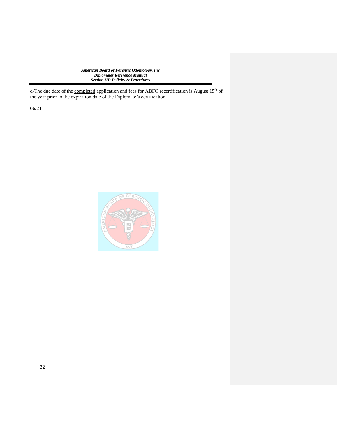d-The due date of the completed application and fees for ABFO recertification is August 15<sup>th</sup> of the year prior to the expiration date of the Diplomate's certification.

06/21

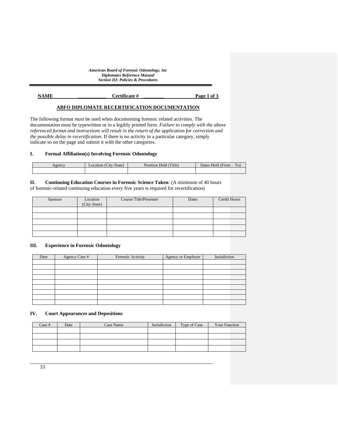| <b>NAME</b> | Certificate # | Page 1 of 3 |
|-------------|---------------|-------------|

### **ABFO DIPLOMATE RECERTIFICATION DOCUMENTATION**

The following format *must* be used when documenting forensic related activities. The documentation must be typewritten or in a legibly printed form. *Failure to comply with the above referenced format and instructions will result in the return of the application for correction and the possible delay in recertification.* If there is no activity in a particular category, simply indicate so on the page and submit it with the other categories.

### **I. Formal Affiliation(s) Involving Forensic Odontology**

| x <sub>genc</sub> | $\text{City-State}$<br>Location | Title <sub>1</sub><br>Position<br>Held | Dates Held<br>(From<br>10) |
|-------------------|---------------------------------|----------------------------------------|----------------------------|
|                   |                                 |                                        |                            |
|                   |                                 |                                        |                            |
|                   |                                 |                                        |                            |

### **II. Continuing Education Courses in Forensic Science Taken**: (A minimum of 40 hours of forensic-related continuing education every five years is required for recertification)

| Sponsor | Location<br>(City-State) | Course Title/Presenter | Dates | Credit Hours |
|---------|--------------------------|------------------------|-------|--------------|
|         |                          |                        |       |              |
|         |                          |                        |       |              |
|         |                          |                        |       |              |
|         |                          |                        |       |              |
|         |                          |                        |       |              |

### **III. Experience in Forensic Odontology**

| Date | Agency Case # | Forensic Activity | Agency or Employer | Jurisdiction |
|------|---------------|-------------------|--------------------|--------------|
|      |               |                   |                    |              |
|      |               |                   |                    |              |
|      |               |                   |                    |              |
|      |               |                   |                    |              |
|      |               |                   |                    |              |
|      |               |                   |                    |              |
|      |               |                   |                    |              |
|      |               |                   |                    |              |
|      |               |                   |                    |              |

### **IV. Court Appearances and Depositions**

| Case # | Date | Case Name | Jurisdiction | Type of Case | Your Function |
|--------|------|-----------|--------------|--------------|---------------|
|        |      |           |              |              |               |
|        |      |           |              |              |               |
|        |      |           |              |              |               |
|        |      |           |              |              |               |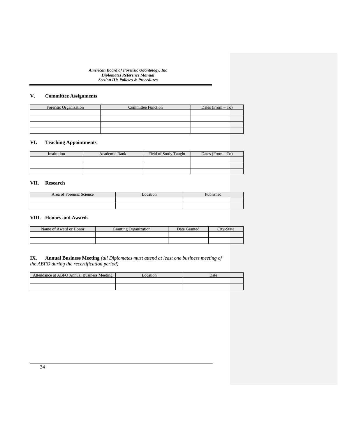### **V. Committee Assignments**

| Forensic Organization | <b>Committee Function</b> | Dates (From $-$ To) |
|-----------------------|---------------------------|---------------------|
|                       |                           |                     |
|                       |                           |                     |
|                       |                           |                     |
|                       |                           |                     |

### **VI. Teaching Appointments**

| Institution | Academic Rank | Field of Study Taught | Dates (From $-$ To) |
|-------------|---------------|-----------------------|---------------------|
|             |               |                       |                     |
|             |               |                       |                     |
|             |               |                       |                     |

### **VII. Research**

| Area of Forensic Science | ocation | $Du$ hliche |
|--------------------------|---------|-------------|
|                          |         |             |
|                          |         |             |

### **VIII. Honors and Awards**

| Name of Award or Honor | <b>Granting Organization</b> | Date Granted | <b>Tity-State</b> |
|------------------------|------------------------------|--------------|-------------------|
|                        |                              |              |                   |
|                        |                              |              |                   |

**IX. Annual Business Meeting** *(all Diplomates must attend at least one business meeting of the ABFO during the recertification period)*

| Attendance at ABFO Annual Business Meeting | ocation | Date |
|--------------------------------------------|---------|------|
|                                            |         |      |
|                                            |         |      |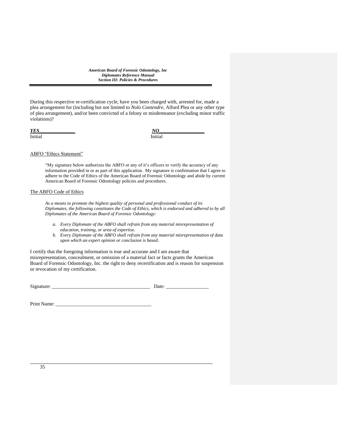During this respective re-certification cycle, have you been charged with, arrested for, made a plea arrangement for (including but not limited to *Nolo Contendre,* Alford Plea or any other type of plea arrangement), and/or been convicted of a felony or misdemeanor (excluding minor traffic violations)?

Initial **Initial** 

*YES\_\_\_\_\_\_\_\_\_\_\_\_\_\_ NO\_\_\_\_\_\_\_\_\_\_\_\_\_\_\_\_\_\_*

### ABFO "Ethics Statement"

"My signature below authorizes the ABFO or any of it's officers to verify the accuracy of any information provided in or as part of this application. My signature is confirmation that I agree to adhere to the Code of Ethics of the American Board of Forensic Odontology and abide by current American Board of Forensic Odontology policies and procedures.

### The ABFO Code of Ethics

*As a means to promote the highest quality of personal and professional conduct of its Diplomates, the following constitutes the Code of Ethics, which is endorsed and adhered to by all Diplomates of the American Board of Forensic Odontology:*

- *a. Every Diplomate of the ABFO shall refrain from any material misrepresentation of education, training, or area of expertise.*
- *b. Every Diplomate of the ABFO shall refrain from any material misrepresentation of data upon which an expert opinion or conclusion is based.*

I certify that the foregoing information is true and accurate and I am aware that misrepresentation, concealment, or omission of a material fact or facts grants the American Board of Forensic Odontology, Inc. the right to deny recertification and is reason for suspension or revocation of my certification.

 $Signature:$  Date:

Print Name: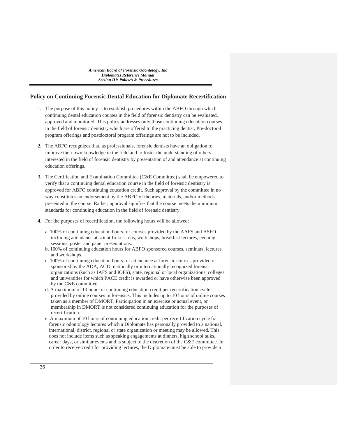### **Policy on Continuing Forensic Dental Education for Diplomate Recertification**

- 1. The purpose of this policy is to establish procedures within the ABFO through which continuing dental education courses in the field of forensic dentistry can be evaluated, approved and monitored. This policy addresses only those continuing education courses in the field of forensic dentistry which are offered to the practicing dentist. Pre-doctoral program offerings and postdoctoral program offerings are not to be included.
- 2. The ABFO recognizes that, as professionals, forensic dentists have an obligation to improve their own knowledge in the field and to foster the understanding of others interested in the field of forensic dentistry by presentation of and attendance at continuing education offerings.
- 3. The Certification and Examination Committee (C&E Committee) shall be empowered to verify that a continuing dental education course in the field of forensic dentistry is approved for ABFO continuing education credit. Such approval by the committee in no way constitutes an endorsement by the ABFO of theories, materials, and/or methods presented in the course. Rather, approval signifies that the course meets the minimum standards for continuing education in the field of forensic dentistry.
- 4. For the purposes of recertification, the following hours will be allowed:
	- a. 100% of continuing education hours for courses provided by the AAFS and ASFO including attendance at scientific sessions, workshops, breakfast lectures, evening sessions, poster and paper presentations.
	- b. 100% of continuing education hours for ABFO sponsored courses, seminars, lectures and workshops.
	- c. 100% of continuing education hours for attendance at forensic courses provided or sponsored by the ADA, AGD, nationally or internationally recognized forensic organizations (such as IAFS and IOFS), state, regional or local organizations, colleges and universities for which PACE credit is awarded or have otherwise been approved by the C&E committee.
	- d. A maximum of 10 hours of continuing education credit per recertification cycle provided by online courses in forensics. This includes up to 10 hours of online courses taken as a member of DMORT. Participation in an exercise or actual event, or membership in DMORT is not considered continuing education for the purposes of recertification.
	- e. A maximum of 10 hours of continuing education credit per recertification cycle for forensic odontology lectures which a Diplomate has personally provided to a national, international, district, regional or state organization or meeting may be allowed. This does not include items such as speaking engagements at dinners, high school talks, career days, or similar events and is subject to the discretion of the C&E committee. In order to receive credit for providing lectures, the Diplomate must be able to provide a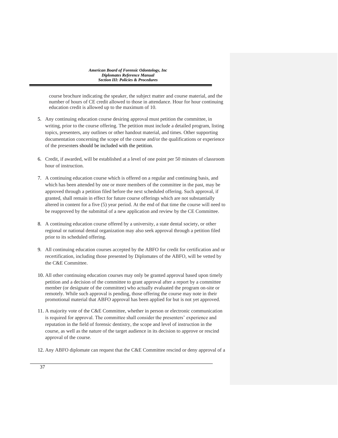course brochure indicating the speaker, the subject matter and course material, and the number of hours of CE credit allowed to those in attendance. Hour for hour continuing education credit is allowed up to the maximum of 10.

- 5. Any continuing education course desiring approval must petition the committee, in writing, prior to the course offering. The petition must include a detailed program, listing topics, presenters, any outlines or other handout material, and times. Other supporting documentation concerning the scope of the course and/or the qualifications or experience of the presenters should be included with the petition.
- 6. Credit, if awarded, will be established at a level of one point per 50 minutes of classroom hour of instruction.
- 7. A continuing education course which is offered on a regular and continuing basis, and which has been attended by one or more members of the committee in the past, may be approved through a petition filed before the next scheduled offering. Such approval, if granted, shall remain in effect for future course offerings which are not substantially altered in content for a five (5) year period. At the end of that time the course will need to be reapproved by the submittal of a new application and review by the CE Committee.
- 8. A continuing education course offered by a university, a state dental society, or other regional or national dental organization may also seek approval through a petition filed prior to its scheduled offering.
- 9. All continuing education courses accepted by the ABFO for credit for certification and or recertification, including those presented by Diplomates of the ABFO, will be vetted by the C&E Committee.
- 10. All other continuing education courses may only be granted approval based upon timely petition and a decision of the committee to grant approval after a report by a committee member (or designate of the committee) who actually evaluated the program on-site or remotely. While such approval is pending, those offering the course may note in their promotional material that ABFO approval has been applied for but is not yet approved.
- 11. A majority vote of the C&E Committee, whether in person or electronic communication is required for approval. The committee shall consider the presenters' experience and reputation in the field of forensic dentistry, the scope and level of instruction in the course, as well as the nature of the target audience in its decision to approve or rescind approval of the course.
- 12. Any ABFO diplomate can request that the C&E Committee rescind or deny approval of a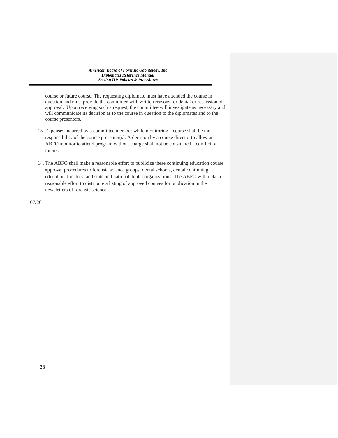course or future course. The requesting diplomate must have attended the course in question and must provide the committee with written reasons for denial or rescission of approval. Upon receiving such a request, the committee will investigate as necessary and will communicate its decision as to the course in question to the diplomates and to the course presenters.

- 13. Expenses incurred by a committee member while monitoring a course shall be the responsibility of the course presenter(s). A decision by a course director to allow an ABFO monitor to attend program without charge shall not be considered a conflict of interest.
- 14. The ABFO shall make a reasonable effort to publicize these continuing education course approval procedures to forensic science groups, dental schools, dental continuing education directors, and state and national dental organizations. The ABFO will make a reasonable effort to distribute a listing of approved courses for publication in the newsletters of forensic science.

07/20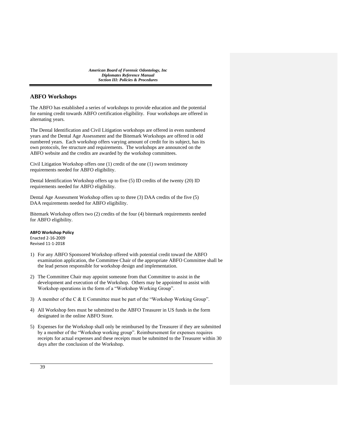### **ABFO Workshops**

The ABFO has established a series of workshops to provide education and the potential for earning credit towards ABFO certification eligibility. Four workshops are offered in alternating years.

The Dental Identification and Civil Litigation workshops are offered in even numbered years and the Dental Age Assessment and the Bitemark Workshops are offered in odd numbered years. Each workshop offers varying amount of credit for its subject, has its own protocols, fee structure and requirements. The workshops are announced on the ABFO website and the credits are awarded by the workshop committees.

Civil Litigation Workshop offers one (1) credit of the one (1) sworn testimony requirements needed for ABFO eligibility.

Dental Identification Workshop offers up to five (5) ID credits of the twenty (20) ID requirements needed for ABFO eligibility.

Dental Age Assessment Workshop offers up to three (3) DAA credits of the five (5) DAA requirements needed for ABFO eligibility.

Bitemark Workshop offers two (2) credits of the four (4) bitemark requirements needed for ABFO eligibility.

#### **ABFO Workshop Policy**

Enacted 2-16-2009 Revised 11-1-2018

- 1) For any ABFO Sponsored Workshop offered with potential credit toward the ABFO examination application, the Committee Chair of the appropriate ABFO Committee shall be the lead person responsible for workshop design and implementation.
- 2) The Committee Chair may appoint someone from that Committee to assist in the development and execution of the Workshop. Others may be appointed to assist with Workshop operations in the form of a "Workshop Working Group".
- 3) A member of the C & E Committee must be part of the "Workshop Working Group".
- 4) All Workshop fees must be submitted to the ABFO Treasurer in US funds in the form designated in the online ABFO Store.
- 5) Expenses for the Workshop shall only be reimbursed by the Treasurer if they are submitted by a member of the "Workshop working group". Reimbursement for expenses requires receipts for actual expenses and these receipts must be submitted to the Treasurer within 30 days after the conclusion of the Workshop.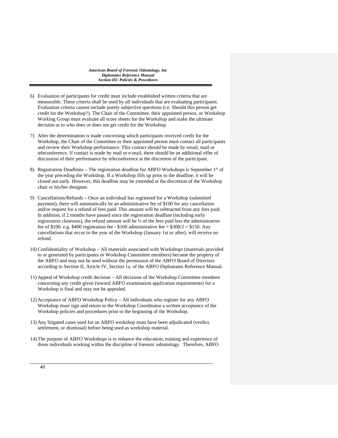- 6) Evaluation of participants for credit must include established written criteria that are measurable. These criteria shall be used by all individuals that are evaluating participants. Evaluation criteria cannot include purely subjective questions (i.e. Should this person get credit for the Workshop?). The Chair of the Committee, their appointed person, or Workshop Working Group must evaluate all score sheets for the Workshop and make the ultimate decision as to who does or does not get credit for the Workshop.
- 7) After the determination is made concerning which participants received credit for the Workshop, the Chair of the Committee or their appointed person must contact all participants and review their Workshop performance. This contact should be made by email, mail or teleconference. If contact is made by mail or e-mail, there should be an additional offer of discussion of their performance by teleconference at the discretion of the participant.
- 8) Registration Deadlines The registration deadline for ABFO Workshops is September 1<sup>st</sup> of the year preceding the Workshop. If a Workshop fills up prior to the deadline, it will be closed out early. However, this deadline may be extended at the discretion of the Workshop chair or his/her designee.
- 9) Cancellations/Refunds **–** Once an individual has registered for a Workshop (submitted payment), there will automatically be an administrative fee of \$100 for any cancellation and/or request for a refund of fees paid. This amount will be subtracted from any fees paid. In addition, if 2 months have passed since the registration deadline (including early registration closeouts), the refund amount will be ½ of the fees paid less the administrative fee of \$100. e.g. \$400 registration fee - \$100 administrative fee =  $$300/2 = $150$ . Any cancellations that occur in the year of the Workshop (January 1st or after), will receive no refund.
- 10)Confidentiality of Workshop **–** All materials associated with Workshops (materials provided to or generated by participants or Workshop Committee members) become the property of the ABFO and may not be used without the permission of the ABFO Board of Directors according to Section II, Article IV, Section 1a. of the ABFO Diplomates Reference Manual.
- 11) Appeal of Workshop credit decision **–** All decisions of the Workshop Committee members concerning any credit given (toward ABFO examination application requirements) for a Workshop is final and may not be appealed.
- 12) Acceptance of ABFO Workshop Policy **–** All individuals who register for any ABFO Workshop must sign and return to the Workshop Coordinator a written acceptance of the Workshop policies and procedures prior to the beginning of the Workshop.
- 13) Any litigated cases used for an ABFO workshop must have been adjudicated (verdict, settlement, or dismissal) before being used as workshop material.
- 14) The purpose of ABFO Workshops is to enhance the education, training and experience of those individuals working within the discipline of forensic odontology. Therefore, ABFO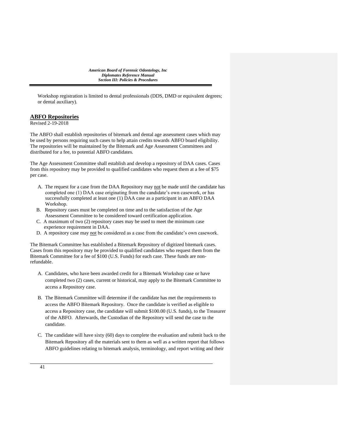Workshop registration is limited to dental professionals (DDS, DMD or equivalent degrees; or dental auxiliary).

### **ABFO Repositories**

Revised 2-19-2018

The ABFO shall establish repositories of bitemark and dental age assessment cases which may be used by persons requiring such cases to help attain credits towards ABFO board eligibility. The repositories will be maintained by the Bitemark and Age Assessment Committees and distributed for a fee, to potential ABFO candidates.

The Age Assessment Committee shall establish and develop a repository of DAA cases. Cases from this repository may be provided to qualified candidates who request them at a fee of \$75 per case.

- A. The request for a case from the DAA Repository may not be made until the candidate has completed one (1) DAA case originating from the candidate's own casework, or has successfully completed at least one (1) DAA case as a participant in an ABFO DAA Workshop.
- B. Repository cases must be completed on time and to the satisfaction of the Age Assessment Committee to be considered toward certification application.
- C. A maximum of two (2) repository cases may be used to meet the minimum case experience requirement in DAA.
- D. A repository case may not be considered as a case from the candidate's own casework.

The Bitemark Committee has established a Bitemark Repository of digitized bitemark cases. Cases from this repository may be provided to qualified candidates who request them from the Bitemark Committee for a fee of \$100 (U.S. Funds) for each case. These funds are nonrefundable.

- A. Candidates, who have been awarded credit for a Bitemark Workshop case or have completed two (2) cases, current or historical, may apply to the Bitemark Committee to access a Repository case.
- B. The Bitemark Committee will determine if the candidate has met the requirements to access the ABFO Bitemark Repository. Once the candidate is verified as eligible to access a Repository case, the candidate will submit \$100.00 (U.S. funds), to the Treasurer of the ABFO. Afterwards, the Custodian of the Repository will send the case to the candidate.
- C. The candidate will have sixty (60) days to complete the evaluation and submit back to the Bitemark Repository all the materials sent to them as well as a written report that follows ABFO guidelines relating to bitemark analysis, terminology, and report writing and their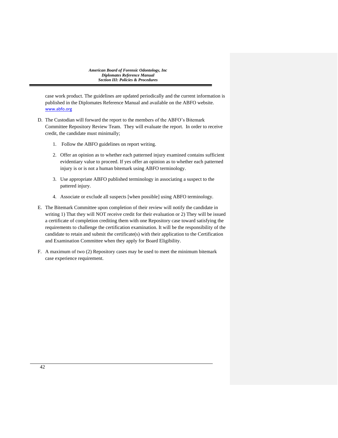case work product. The guidelines are updated periodically and the current information is published in the Diplomates Reference Manual and available on the ABFO website. [www.abfo.org](http://www.abfo.org/)

- D. The Custodian will forward the report to the members of the ABFO's Bitemark Committee Repository Review Team. They will evaluate the report. In order to receive credit, the candidate must minimally;
	- 1. Follow the ABFO guidelines on report writing.
	- 2. Offer an opinion as to whether each patterned injury examined contains sufficient evidentiary value to proceed. If yes offer an opinion as to whether each patterned injury is or is not a human bitemark using ABFO terminology.
	- 3. Use appropriate ABFO published terminology in associating a suspect to the pattered injury.
	- 4. Associate or exclude all suspects [when possible] using ABFO terminology.
- E. The Bitemark Committee upon completion of their review will notify the candidate in writing 1) That they will NOT receive credit for their evaluation or 2) They will be issued a certificate of completion crediting them with one Repository case toward satisfying the requirements to challenge the certification examination. It will be the responsibility of the candidate to retain and submit the certificate(s) with their application to the Certification and Examination Committee when they apply for Board Eligibility.
- F. A maximum of two (2) Repository cases may be used to meet the minimum bitemark case experience requirement.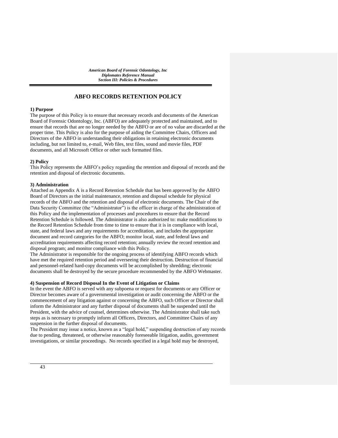### **ABFO RECORDS RETENTION POLICY**

### **1) Purpose**

The purpose of this Policy is to ensure that necessary records and documents of the American Board of Forensic Odontology, Inc. (ABFO) are adequately protected and maintained, and to ensure that records that are no longer needed by the ABFO or are of no value are discarded at the proper time. This Policy is also for the purpose of aiding the Committee Chairs, Officers and Directors of the ABFO in understanding their obligations in retaining electronic documents including, but not limited to, e-mail, Web files, text files, sound and movie files, PDF documents, and all Microsoft Office or other such formatted files.

#### **2) Policy**

This Policy represents the ABFO's policy regarding the retention and disposal of records and the retention and disposal of electronic documents.

#### **3) Administration**

Attached as Appendix A is a Record Retention Schedule that has been approved by the ABFO Board of Directors as the initial maintenance, retention and disposal schedule for physical records of the ABFO and the retention and disposal of electronic documents. The Chair of the Data Security Committee (the "Administrator") is the officer in charge of the administration of this Policy and the implementation of processes and procedures to ensure that the Record Retention Schedule is followed. The Administrator is also authorized to: make modifications to the Record Retention Schedule from time to time to ensure that it is in compliance with local, state, and federal laws and any requirements for accreditation, and includes the appropriate document and record categories for the ABFO; monitor local, state, and federal laws and accreditation requirements affecting record retention; annually review the record retention and disposal program; and monitor compliance with this Policy.

The Administrator is responsible for the ongoing process of identifying ABFO records which have met the required retention period and overseeing their destruction. Destruction of financial and personnel-related hard-copy documents will be accomplished by shredding; electronic documents shall be destroyed by the secure procedure recommended by the ABFO Webmaster.

#### **4) Suspension of Record Disposal In the Event of Litigation or Claims**

In the event the ABFO is served with any subpoena or request for documents or any Officer or Director becomes aware of a governmental investigation or audit concerning the ABFO or the commencement of any litigation against or concerning the ABFO, such Officer or Director shall inform the Administrator and any further disposal of documents shall be suspended until the President, with the advice of counsel, determines otherwise. The Administrator shall take such steps as is necessary to promptly inform all Officers, Directors, and Committee Chairs of any suspension in the further disposal of documents.

The President may issue a notice, known as a "legal hold," suspending destruction of any records due to pending, threatened, or otherwise reasonably foreseeable litigation, audits, government investigations, or similar proceedings. No records specified in a legal hold may be destroyed,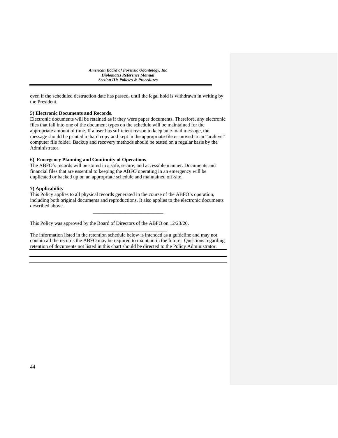even if the scheduled destruction date has passed, until the legal hold is withdrawn in writing by the President.

### **5) Electronic Documents and Records**.

Electronic documents will be retained as if they were paper documents. Therefore, any electronic files that fall into one of the document types on the schedule will be maintained for the appropriate amount of time. If a user has sufficient reason to keep an e-mail message, the message should be printed in hard copy and kept in the appropriate file or moved to an "archive" computer file folder. Backup and recovery methods should be tested on a regular basis by the Administrator.

### **6) Emergency Planning and Continuity of Operations**.

The ABFO's records will be stored in a safe, secure, and accessible manner. Documents and financial files that are essential to keeping the ABFO operating in an emergency will be duplicated or backed up on an appropriate schedule and maintained off-site.

### **7) Applicability**

This Policy applies to all physical records generated in the course of the ABFO's operation, including both original documents and reproductions. It also applies to the electronic documents described above.

\_\_\_\_\_\_\_\_\_\_\_\_\_\_\_\_\_\_\_\_\_\_\_\_\_\_\_\_

This Policy was approved by the Board of Directors of the ABFO on 12/23/20.

The information listed in the retention schedule below is intended as a guideline and may not contain all the records the ABFO may be required to maintain in the future. Questions regarding retention of documents not listed in this chart should be directed to the Policy Administrator.

\_\_\_\_\_\_\_\_\_\_\_\_\_\_\_\_\_\_\_\_\_\_\_\_\_\_\_\_\_\_\_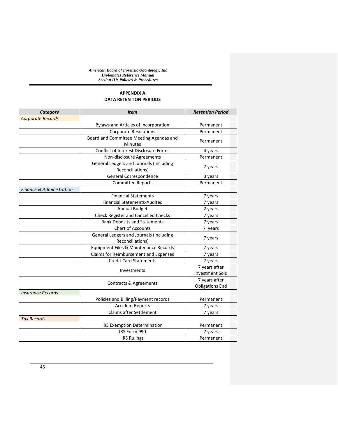### **APPENDIX A DATA RETENTION PERIODS**

| Category                            | Item                                                        | <b>Retention Period</b>                 |
|-------------------------------------|-------------------------------------------------------------|-----------------------------------------|
| <b>Corporate Records</b>            |                                                             |                                         |
|                                     | Bylaws and Articles of Incorporation                        | Permanent                               |
|                                     | <b>Corporate Resolutions</b>                                | Permanent                               |
|                                     | Board and Committee Meeting Agendas and<br><b>Minutes</b>   | Permanent                               |
|                                     | <b>Conflict of Interest Disclosure Forms</b>                | 4 years                                 |
|                                     | Non-disclosure Agreements                                   | Permanent                               |
|                                     | General Ledgers and Journals (including<br>Reconciliations) | 7 years                                 |
|                                     | General Correspondence                                      | 3 years                                 |
|                                     | <b>Committee Reports</b>                                    | Permanent                               |
| <b>Finance &amp; Administration</b> |                                                             |                                         |
|                                     | <b>Financial Statements</b>                                 | 7 years                                 |
|                                     | <b>Financial Statements-Audited</b>                         | 7 years                                 |
|                                     | Annual Budget                                               | 2 years                                 |
|                                     | <b>Check Register and Cancelled Checks</b>                  | 7 years                                 |
|                                     | <b>Bank Deposits and Statements</b>                         | 7 years                                 |
|                                     | <b>Chart of Accounts</b>                                    | 7 years                                 |
|                                     | General Ledgers and Journals (including<br>Reconciliations) | 7 years                                 |
|                                     | Equipment Files & Maintenance Records                       | 7 years                                 |
|                                     | <b>Claims for Reimbursement and Expenses</b>                | 7 years                                 |
|                                     | <b>Credit Card Statements</b>                               | 7 years                                 |
|                                     | Investments                                                 | 7 years after<br><b>Investment Sold</b> |
|                                     | Contracts & Agreements                                      | 7 years after<br><b>Obligations End</b> |
| <b>Insurance Records</b>            |                                                             |                                         |
|                                     | Policies and Billing/Payment records                        | Permanent                               |
|                                     | <b>Accident Reports</b>                                     | 7 years                                 |
|                                     | Claims after Settlement                                     | 7 years                                 |
| <b>Tax Records</b>                  |                                                             |                                         |
|                                     | IRS Exemption Determination                                 | Permanent                               |
|                                     | IRS Form 990                                                | 7 years                                 |
|                                     | <b>IRS Rulings</b>                                          | Permanent                               |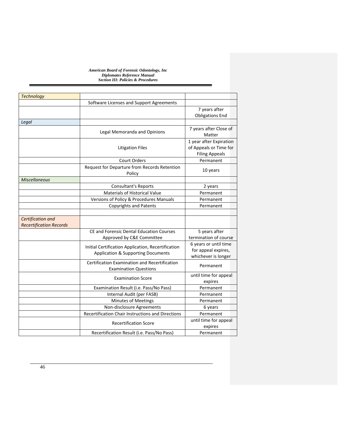| <b>Technology</b><br>Software Licenses and Support Agreements<br>7 years after<br><b>Obligations End</b><br>Legal<br>7 years after Close of<br>Legal Memoranda and Opinions<br>Matter<br>1 year after Expiration<br>of Appeals or Time for<br><b>Litigation Files</b><br><b>Filing Appeals</b><br>Permanent<br><b>Court Orders</b><br>Request for Departure from Records Retention<br>10 years<br>Policy<br><b>Miscellaneous</b><br><b>Consultant's Reports</b><br>2 years<br>Materials of Historical Value<br>Permanent<br>Versions of Policy & Procedures Manuals<br>Permanent<br><b>Copyrights and Patents</b><br>Permanent<br>Certification and<br><b>Recertification Records</b><br><b>CE and Forensic Dental Education Courses</b><br>5 years after<br>Approved by C&E Committee<br>termination of course<br>6 years or until time<br>Initial Certification Application, Recertification<br>for appeal expires,<br><b>Application &amp; Supporting Documents</b><br>whichever is longer<br>Certification Examination and Recertification<br>Permanent<br><b>Examination Questions</b><br>until time for appeal<br><b>Examination Score</b><br>expires<br>Examination Result (i.e. Pass/No Pass)<br>Permanent<br>Internal Audit (per FASB)<br>Permanent<br><b>Minutes of Meetings</b><br>Permanent<br>Non-disclosure Agreements<br>6 years<br>Recertification Chair Instructions and Directions<br>Permanent<br>until time for appeal<br><b>Recertification Score</b><br>expires |                                            |  |
|---------------------------------------------------------------------------------------------------------------------------------------------------------------------------------------------------------------------------------------------------------------------------------------------------------------------------------------------------------------------------------------------------------------------------------------------------------------------------------------------------------------------------------------------------------------------------------------------------------------------------------------------------------------------------------------------------------------------------------------------------------------------------------------------------------------------------------------------------------------------------------------------------------------------------------------------------------------------------------------------------------------------------------------------------------------------------------------------------------------------------------------------------------------------------------------------------------------------------------------------------------------------------------------------------------------------------------------------------------------------------------------------------------------------------------------------------------------------------------------|--------------------------------------------|--|
|                                                                                                                                                                                                                                                                                                                                                                                                                                                                                                                                                                                                                                                                                                                                                                                                                                                                                                                                                                                                                                                                                                                                                                                                                                                                                                                                                                                                                                                                                       |                                            |  |
|                                                                                                                                                                                                                                                                                                                                                                                                                                                                                                                                                                                                                                                                                                                                                                                                                                                                                                                                                                                                                                                                                                                                                                                                                                                                                                                                                                                                                                                                                       |                                            |  |
|                                                                                                                                                                                                                                                                                                                                                                                                                                                                                                                                                                                                                                                                                                                                                                                                                                                                                                                                                                                                                                                                                                                                                                                                                                                                                                                                                                                                                                                                                       |                                            |  |
|                                                                                                                                                                                                                                                                                                                                                                                                                                                                                                                                                                                                                                                                                                                                                                                                                                                                                                                                                                                                                                                                                                                                                                                                                                                                                                                                                                                                                                                                                       |                                            |  |
|                                                                                                                                                                                                                                                                                                                                                                                                                                                                                                                                                                                                                                                                                                                                                                                                                                                                                                                                                                                                                                                                                                                                                                                                                                                                                                                                                                                                                                                                                       |                                            |  |
|                                                                                                                                                                                                                                                                                                                                                                                                                                                                                                                                                                                                                                                                                                                                                                                                                                                                                                                                                                                                                                                                                                                                                                                                                                                                                                                                                                                                                                                                                       |                                            |  |
|                                                                                                                                                                                                                                                                                                                                                                                                                                                                                                                                                                                                                                                                                                                                                                                                                                                                                                                                                                                                                                                                                                                                                                                                                                                                                                                                                                                                                                                                                       |                                            |  |
|                                                                                                                                                                                                                                                                                                                                                                                                                                                                                                                                                                                                                                                                                                                                                                                                                                                                                                                                                                                                                                                                                                                                                                                                                                                                                                                                                                                                                                                                                       |                                            |  |
|                                                                                                                                                                                                                                                                                                                                                                                                                                                                                                                                                                                                                                                                                                                                                                                                                                                                                                                                                                                                                                                                                                                                                                                                                                                                                                                                                                                                                                                                                       |                                            |  |
|                                                                                                                                                                                                                                                                                                                                                                                                                                                                                                                                                                                                                                                                                                                                                                                                                                                                                                                                                                                                                                                                                                                                                                                                                                                                                                                                                                                                                                                                                       |                                            |  |
|                                                                                                                                                                                                                                                                                                                                                                                                                                                                                                                                                                                                                                                                                                                                                                                                                                                                                                                                                                                                                                                                                                                                                                                                                                                                                                                                                                                                                                                                                       |                                            |  |
|                                                                                                                                                                                                                                                                                                                                                                                                                                                                                                                                                                                                                                                                                                                                                                                                                                                                                                                                                                                                                                                                                                                                                                                                                                                                                                                                                                                                                                                                                       |                                            |  |
|                                                                                                                                                                                                                                                                                                                                                                                                                                                                                                                                                                                                                                                                                                                                                                                                                                                                                                                                                                                                                                                                                                                                                                                                                                                                                                                                                                                                                                                                                       |                                            |  |
|                                                                                                                                                                                                                                                                                                                                                                                                                                                                                                                                                                                                                                                                                                                                                                                                                                                                                                                                                                                                                                                                                                                                                                                                                                                                                                                                                                                                                                                                                       |                                            |  |
|                                                                                                                                                                                                                                                                                                                                                                                                                                                                                                                                                                                                                                                                                                                                                                                                                                                                                                                                                                                                                                                                                                                                                                                                                                                                                                                                                                                                                                                                                       |                                            |  |
|                                                                                                                                                                                                                                                                                                                                                                                                                                                                                                                                                                                                                                                                                                                                                                                                                                                                                                                                                                                                                                                                                                                                                                                                                                                                                                                                                                                                                                                                                       |                                            |  |
|                                                                                                                                                                                                                                                                                                                                                                                                                                                                                                                                                                                                                                                                                                                                                                                                                                                                                                                                                                                                                                                                                                                                                                                                                                                                                                                                                                                                                                                                                       |                                            |  |
|                                                                                                                                                                                                                                                                                                                                                                                                                                                                                                                                                                                                                                                                                                                                                                                                                                                                                                                                                                                                                                                                                                                                                                                                                                                                                                                                                                                                                                                                                       |                                            |  |
|                                                                                                                                                                                                                                                                                                                                                                                                                                                                                                                                                                                                                                                                                                                                                                                                                                                                                                                                                                                                                                                                                                                                                                                                                                                                                                                                                                                                                                                                                       |                                            |  |
|                                                                                                                                                                                                                                                                                                                                                                                                                                                                                                                                                                                                                                                                                                                                                                                                                                                                                                                                                                                                                                                                                                                                                                                                                                                                                                                                                                                                                                                                                       |                                            |  |
|                                                                                                                                                                                                                                                                                                                                                                                                                                                                                                                                                                                                                                                                                                                                                                                                                                                                                                                                                                                                                                                                                                                                                                                                                                                                                                                                                                                                                                                                                       |                                            |  |
|                                                                                                                                                                                                                                                                                                                                                                                                                                                                                                                                                                                                                                                                                                                                                                                                                                                                                                                                                                                                                                                                                                                                                                                                                                                                                                                                                                                                                                                                                       |                                            |  |
|                                                                                                                                                                                                                                                                                                                                                                                                                                                                                                                                                                                                                                                                                                                                                                                                                                                                                                                                                                                                                                                                                                                                                                                                                                                                                                                                                                                                                                                                                       |                                            |  |
|                                                                                                                                                                                                                                                                                                                                                                                                                                                                                                                                                                                                                                                                                                                                                                                                                                                                                                                                                                                                                                                                                                                                                                                                                                                                                                                                                                                                                                                                                       |                                            |  |
|                                                                                                                                                                                                                                                                                                                                                                                                                                                                                                                                                                                                                                                                                                                                                                                                                                                                                                                                                                                                                                                                                                                                                                                                                                                                                                                                                                                                                                                                                       |                                            |  |
|                                                                                                                                                                                                                                                                                                                                                                                                                                                                                                                                                                                                                                                                                                                                                                                                                                                                                                                                                                                                                                                                                                                                                                                                                                                                                                                                                                                                                                                                                       |                                            |  |
|                                                                                                                                                                                                                                                                                                                                                                                                                                                                                                                                                                                                                                                                                                                                                                                                                                                                                                                                                                                                                                                                                                                                                                                                                                                                                                                                                                                                                                                                                       |                                            |  |
|                                                                                                                                                                                                                                                                                                                                                                                                                                                                                                                                                                                                                                                                                                                                                                                                                                                                                                                                                                                                                                                                                                                                                                                                                                                                                                                                                                                                                                                                                       |                                            |  |
|                                                                                                                                                                                                                                                                                                                                                                                                                                                                                                                                                                                                                                                                                                                                                                                                                                                                                                                                                                                                                                                                                                                                                                                                                                                                                                                                                                                                                                                                                       |                                            |  |
|                                                                                                                                                                                                                                                                                                                                                                                                                                                                                                                                                                                                                                                                                                                                                                                                                                                                                                                                                                                                                                                                                                                                                                                                                                                                                                                                                                                                                                                                                       |                                            |  |
|                                                                                                                                                                                                                                                                                                                                                                                                                                                                                                                                                                                                                                                                                                                                                                                                                                                                                                                                                                                                                                                                                                                                                                                                                                                                                                                                                                                                                                                                                       |                                            |  |
| Permanent                                                                                                                                                                                                                                                                                                                                                                                                                                                                                                                                                                                                                                                                                                                                                                                                                                                                                                                                                                                                                                                                                                                                                                                                                                                                                                                                                                                                                                                                             | Recertification Result (i.e. Pass/No Pass) |  |